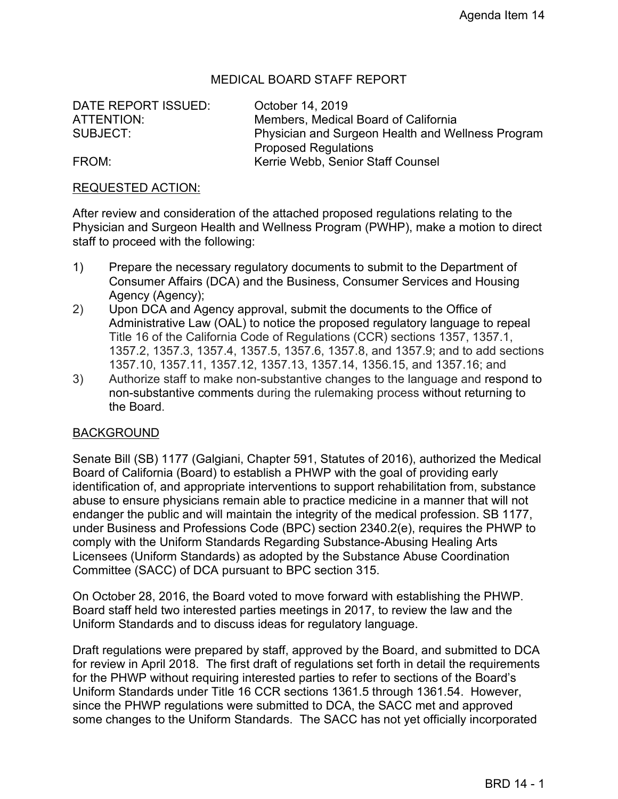#### MEDICAL BOARD STAFF REPORT

DATE REPORT ISSUED: October 14, 2019

ATTENTION: Members, Medical Board of California SUBJECT: Physician and Surgeon Health and Wellness Program Proposed Regulations FROM: Kerrie Webb, Senior Staff Counsel

#### REQUESTED ACTION:

After review and consideration of the attached proposed regulations relating to the Physician and Surgeon Health and Wellness Program (PWHP), make a motion to direct staff to proceed with the following:

- 1) Prepare the necessary regulatory documents to submit to the Department of Consumer Affairs (DCA) and the Business, Consumer Services and Housing Agency (Agency);
- 2) Upon DCA and Agency approval, submit the documents to the Office of Administrative Law (OAL) to notice the proposed regulatory language to repeal Title 16 of the California Code of Regulations (CCR) sections 1357, 1357.1, 1357.2, 1357.3, 1357.4, 1357.5, 1357.6, 1357.8, and 1357.9; and to add sections 1357.10, 1357.11, 1357.12, 1357.13, 1357.14, 1356.15, and 1357.16; and
- 3) Authorize staff to make non-substantive changes to the language and respond to non-substantive comments during the rulemaking process without returning to the Board.

#### BACKGROUND

Senate Bill (SB) 1177 (Galgiani, Chapter 591, Statutes of 2016), authorized the Medical Board of California (Board) to establish a PHWP with the goal of providing early identification of, and appropriate interventions to support rehabilitation from, substance abuse to ensure physicians remain able to practice medicine in a manner that will not endanger the public and will maintain the integrity of the medical profession. SB 1177, under Business and Professions Code (BPC) section 2340.2(e), requires the PHWP to comply with the Uniform Standards Regarding Substance-Abusing Healing Arts Licensees (Uniform Standards) as adopted by the Substance Abuse Coordination Committee (SACC) of DCA pursuant to BPC section 315.

On October 28, 2016, the Board voted to move forward with establishing the PHWP. Board staff held two interested parties meetings in 2017, to review the law and the Uniform Standards and to discuss ideas for regulatory language.

Draft regulations were prepared by staff, approved by the Board, and submitted to DCA for review in April 2018. The first draft of regulations set forth in detail the requirements for the PHWP without requiring interested parties to refer to sections of the Board's Uniform Standards under Title 16 CCR sections 1361.5 through 1361.54. However, since the PHWP regulations were submitted to DCA, the SACC met and approved some changes to the Uniform Standards. The SACC has not yet officially incorporated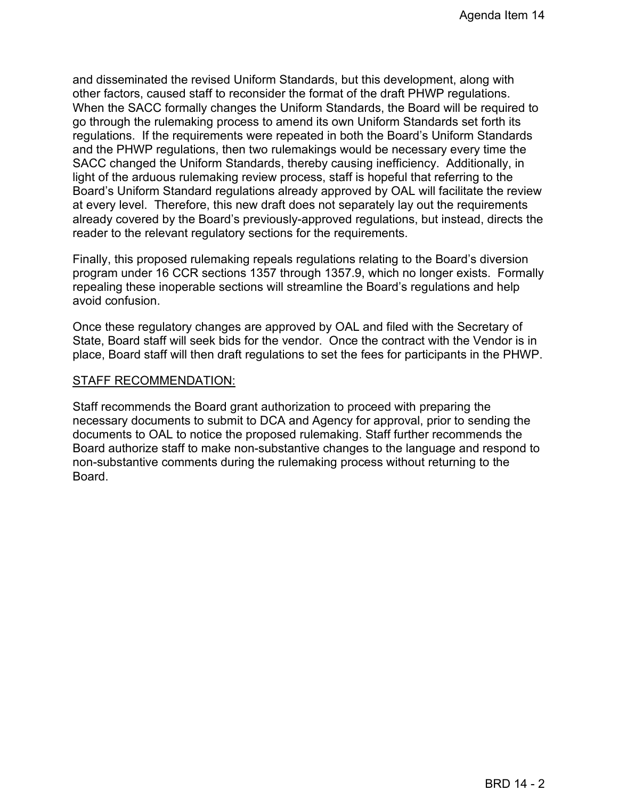and disseminated the revised Uniform Standards, but this development, along with other factors, caused staff to reconsider the format of the draft PHWP regulations. When the SACC formally changes the Uniform Standards, the Board will be required to go through the rulemaking process to amend its own Uniform Standards set forth its regulations. If the requirements were repeated in both the Board's Uniform Standards and the PHWP regulations, then two rulemakings would be necessary every time the SACC changed the Uniform Standards, thereby causing inefficiency. Additionally, in light of the arduous rulemaking review process, staff is hopeful that referring to the Board's Uniform Standard regulations already approved by OAL will facilitate the review at every level. Therefore, this new draft does not separately lay out the requirements already covered by the Board's previously-approved regulations, but instead, directs the reader to the relevant regulatory sections for the requirements.

Finally, this proposed rulemaking repeals regulations relating to the Board's diversion program under 16 CCR sections 1357 through 1357.9, which no longer exists. Formally repealing these inoperable sections will streamline the Board's regulations and help avoid confusion.

Once these regulatory changes are approved by OAL and filed with the Secretary of State, Board staff will seek bids for the vendor. Once the contract with the Vendor is in place, Board staff will then draft regulations to set the fees for participants in the PHWP.

#### STAFF RECOMMENDATION:

Staff recommends the Board grant authorization to proceed with preparing the necessary documents to submit to DCA and Agency for approval, prior to sending the documents to OAL to notice the proposed rulemaking. Staff further recommends the Board authorize staff to make non-substantive changes to the language and respond to non-substantive comments during the rulemaking process without returning to the Board.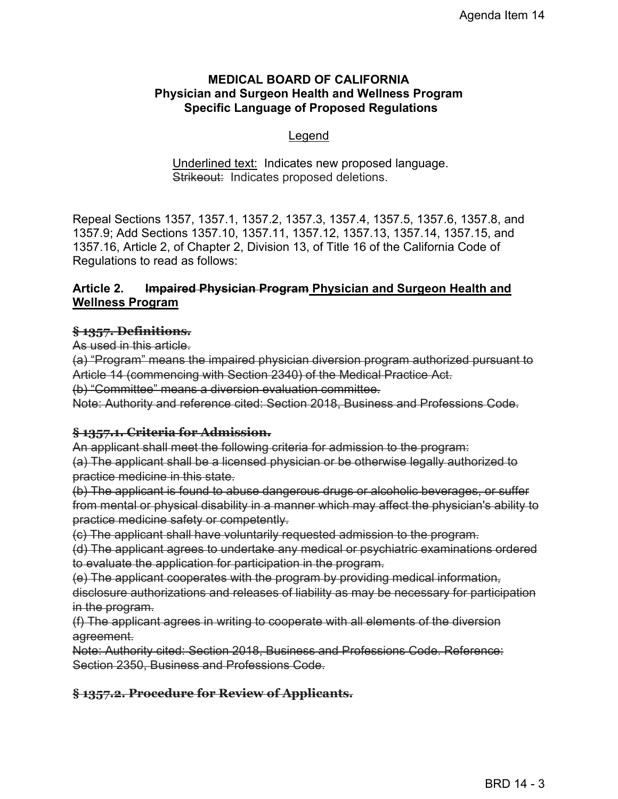#### **MEDICAL BOARD OF CALIFORNIA Physician and Surgeon Health and Wellness Program Specific Language of Proposed Regulations**

#### Legend

#### Underlined text: Indicates new proposed language. Strikeout: Indicates proposed deletions.

Repeal Sections 1357, 1357.1, 1357.2, 1357.3, 1357.4, 1357.5, 1357.6, 1357.8, and 1357.9; Add Sections 1357.10, 1357.11, 1357.12, 1357.13, 1357.14, 1357.15, and 1357.16, Article 2, of Chapter 2, Division 13, of Title 16 of the California Code of Regulations to read as follows:

#### **Article 2. Impaired Physician Program Physician and Surgeon Health and Wellness Program**

#### **§ 1357. Definitions.**

As used in this article.

(a) "Program" means the impaired physician diversion program authorized pursuant to Article 14 (commencing with Section 2340) of the Medical Practice Act.

(b) "Committee" means a diversion evaluation committee.

Note: Authority and reference cited: Section 2018, Business and Professions Code.

#### **§ 1357.1. Criteria for Admission.**

An applicant shall meet the following criteria for admission to the program: (a) The applicant shall be a licensed physician or be otherwise legally authorized to practice medicine in this state.

(b) The applicant is found to abuse dangerous drugs or alcoholic beverages, or suffer from mental or physical disability in a manner which may affect the physician's ability to practice medicine safety or competently.

(c) The applicant shall have voluntarily requested admission to the program.

(d) The applicant agrees to undertake any medical or psychiatric examinations ordered to evaluate the application for participation in the program.

(e) The applicant cooperates with the program by providing medical information,

disclosure authorizations and releases of liability as may be necessary for participation in the program.

(f) The applicant agrees in writing to cooperate with all elements of the diversion agreement.

Note: Authority cited: Section 2018, Business and Professions Code. Reference: Section 2350, Business and Professions Code.

# **§ 1357.2. Procedure for Review of Applicants.**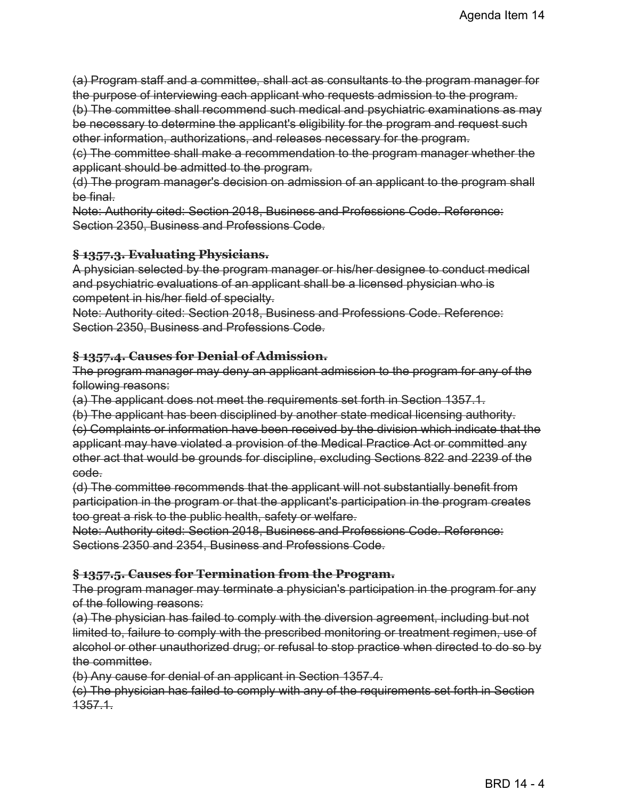(a) Program staff and a committee, shall act as consultants to the program manager for the purpose of interviewing each applicant who requests admission to the program.

(b) The committee shall recommend such medical and psychiatric examinations as may be necessary to determine the applicant's eligibility for the program and request such other information, authorizations, and releases necessary for the program.

(c) The committee shall make a recommendation to the program manager whether the applicant should be admitted to the program.

(d) The program manager's decision on admission of an applicant to the program shall be final.

Note: Authority cited: Section 2018, Business and Professions Code. Reference: Section 2350, Business and Professions Code.

#### **§ 1357.3. Evaluating Physicians.**

A physician selected by the program manager or his/her designee to conduct medical and psychiatric evaluations of an applicant shall be a licensed physician who is competent in his/her field of specialty.

Note: Authority cited: Section 2018, Business and Professions Code. Reference: Section 2350, Business and Professions Code.

#### **§ 1357.4. Causes for Denial of Admission.**

The program manager may deny an applicant admission to the program for any of the following reasons:

(a) The applicant does not meet the requirements set forth in Section 1357.1.

(b) The applicant has been disciplined by another state medical licensing authority.

(c) Complaints or information have been received by the division which indicate that the applicant may have violated a provision of the Medical Practice Act or committed any other act that would be grounds for discipline, excluding Sections 822 and 2239 of the code.

(d) The committee recommends that the applicant will not substantially benefit from participation in the program or that the applicant's participation in the program creates too great a risk to the public health, safety or welfare.

Note: Authority cited: Section 2018, Business and Professions Code. Reference: Sections 2350 and 2354, Business and Professions Code.

# **§ 1357.5. Causes for Termination from the Program.**

The program manager may terminate a physician's participation in the program for any of the following reasons:

(a) The physician has failed to comply with the diversion agreement, including but not limited to, failure to comply with the prescribed monitoring or treatment regimen, use of alcohol or other unauthorized drug; or refusal to stop practice when directed to do so by the committee.

(b) Any cause for denial of an applicant in Section 1357.4.

(c) The physician has failed to comply with any of the requirements set forth in Section 1357.1.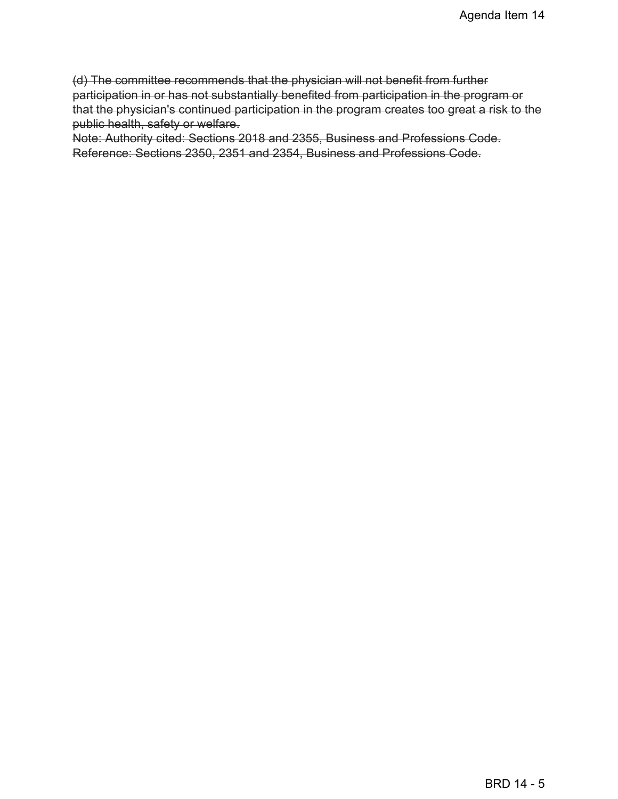(d) The committee recommends that the physician will not benefit from further participation in or has not substantially benefited from participation in the program or that the physician's continued participation in the program creates too great a risk to the public health, safety or welfare.

Note: Authority cited: Sections 2018 and 2355, Business and Professions Code. Reference: Sections 2350, 2351 and 2354, Business and Professions Code.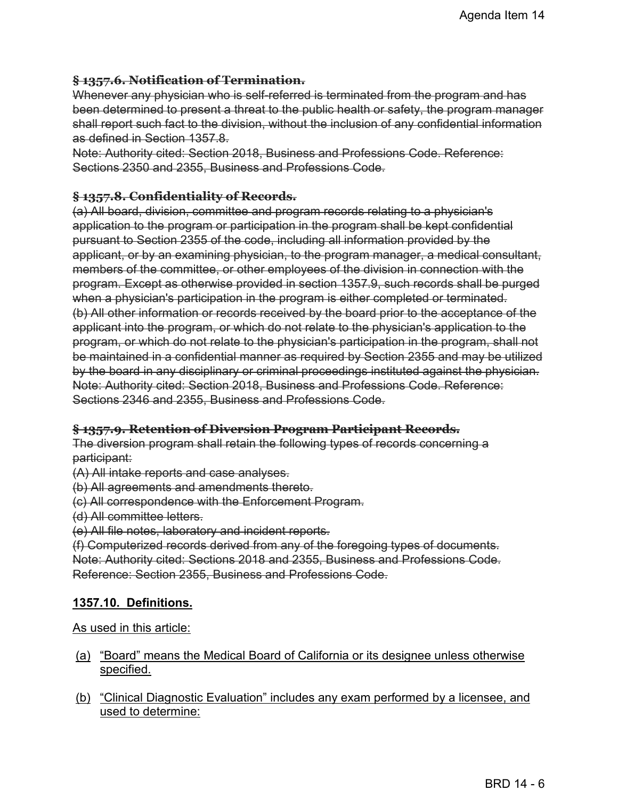#### **§ 1357.6. Notification of Termination.**

Whenever any physician who is self-referred is terminated from the program and has been determined to present a threat to the public health or safety, the program manager shall report such fact to the division, without the inclusion of any confidential information as defined in Section 1357.8.

Note: Authority cited: Section 2018, Business and Professions Code. Reference: Sections 2350 and 2355, Business and Professions Code.

#### **§ 1357.8. Confidentiality of Records.**

(a) All board, division, committee and program records relating to a physician's application to the program or participation in the program shall be kept confidential pursuant to Section 2355 of the code, including all information provided by the applicant, or by an examining physician, to the program manager, a medical consultant, members of the committee, or other employees of the division in connection with the program. Except as otherwise provided in section 1357.9, such records shall be purged when a physician's participation in the program is either completed or terminated. (b) All other information or records received by the board prior to the acceptance of the applicant into the program, or which do not relate to the physician's application to the program, or which do not relate to the physician's participation in the program, shall not be maintained in a confidential manner as required by Section 2355 and may be utilized by the board in any disciplinary or criminal proceedings instituted against the physician. Note: Authority cited: Section 2018, Business and Professions Code. Reference: Sections 2346 and 2355, Business and Professions Code.

#### **§ 1357.9. Retention of Diversion Program Participant Records.**

The diversion program shall retain the following types of records concerning a participant:

(A) All intake reports and case analyses.

(b) All agreements and amendments thereto.

(c) All correspondence with the Enforcement Program.

(d) All committee letters.

(e) All file notes, laboratory and incident reports.

(f) Computerized records derived from any of the foregoing types of documents. Note: Authority cited: Sections 2018 and 2355, Business and Professions Code. Reference: Section 2355, Business and Professions Code.

# **1357.10. Definitions.**

As used in this article:

- (a) "Board" means the Medical Board of California or its designee unless otherwise specified.
- (b) "Clinical Diagnostic Evaluation" includes any exam performed by a licensee, and used to determine: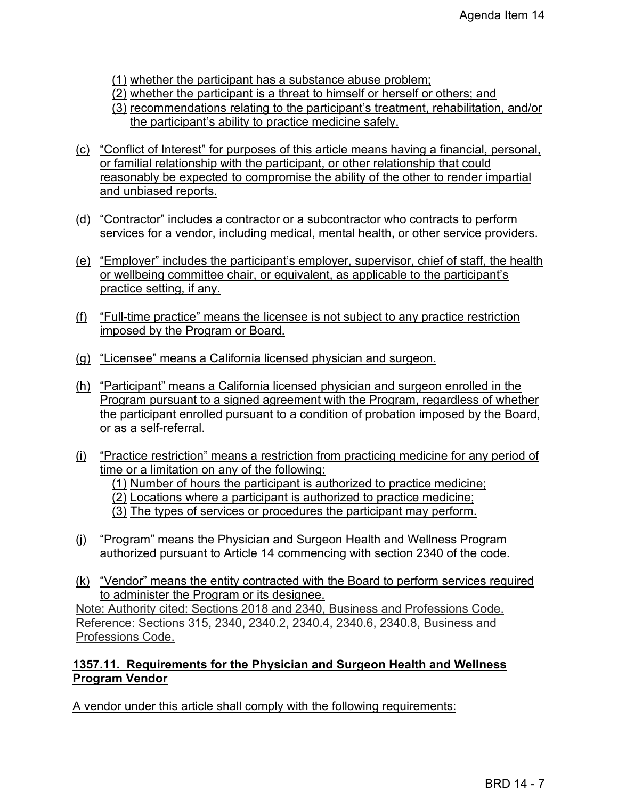(1) whether the participant has a substance abuse problem;

- (2) whether the participant is a threat to himself or herself or others; and
- (3) recommendations relating to the participant's treatment, rehabilitation, and/or the participant's ability to practice medicine safely.
- (c) "Conflict of Interest" for purposes of this article means having a financial, personal, or familial relationship with the participant, or other relationship that could reasonably be expected to compromise the ability of the other to render impartial and unbiased reports.
- (d) "Contractor" includes a contractor or a subcontractor who contracts to perform services for a vendor, including medical, mental health, or other service providers.
- (e) "Employer" includes the participant's employer, supervisor, chief of staff, the health or wellbeing committee chair, or equivalent, as applicable to the participant's practice setting, if any.
- (f) "Full-time practice" means the licensee is not subject to any practice restriction imposed by the Program or Board.
- (g) "Licensee" means a California licensed physician and surgeon.
- (h) "Participant" means a California licensed physician and surgeon enrolled in the Program pursuant to a signed agreement with the Program, regardless of whether the participant enrolled pursuant to a condition of probation imposed by the Board, or as a self-referral.
- (i) "Practice restriction" means a restriction from practicing medicine for any period of time or a limitation on any of the following:
	- (1) Number of hours the participant is authorized to practice medicine;
	- (2) Locations where a participant is authorized to practice medicine;
	- (3) The types of services or procedures the participant may perform.
- (j) "Program" means the Physician and Surgeon Health and Wellness Program authorized pursuant to Article 14 commencing with section 2340 of the code.
- (k) "Vendor" means the entity contracted with the Board to perform services required to administer the Program or its designee.

Note: Authority cited: Sections 2018 and 2340, Business and Professions Code. Reference: Sections 315, 2340, 2340.2, 2340.4, 2340.6, 2340.8, Business and Professions Code.

# **1357.11. Requirements for the Physician and Surgeon Health and Wellness Program Vendor**

A vendor under this article shall comply with the following requirements: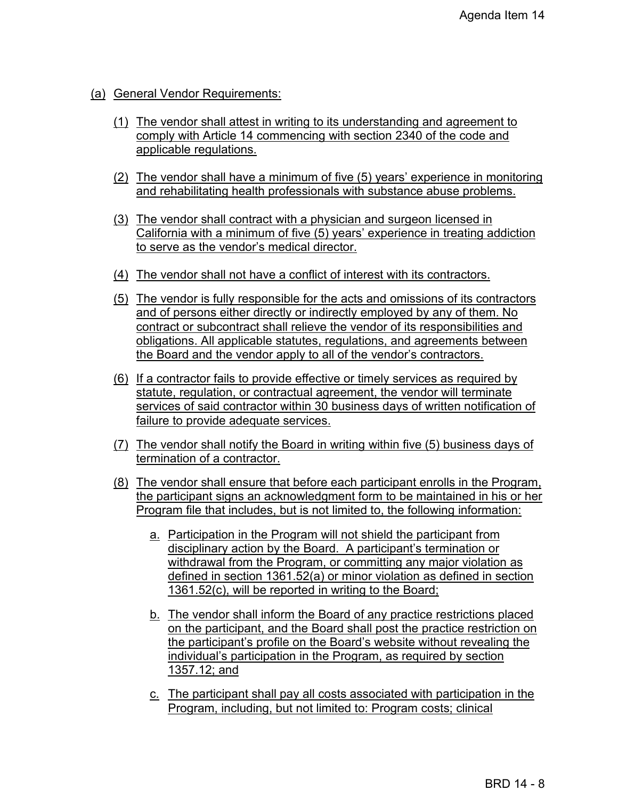# (a) General Vendor Requirements:

- (1) The vendor shall attest in writing to its understanding and agreement to comply with Article 14 commencing with section 2340 of the code and applicable regulations.
- (2) The vendor shall have a minimum of five (5) years' experience in monitoring and rehabilitating health professionals with substance abuse problems.
- (3) The vendor shall contract with a physician and surgeon licensed in California with a minimum of five (5) years' experience in treating addiction to serve as the vendor's medical director.
- (4) The vendor shall not have a conflict of interest with its contractors.
- (5) The vendor is fully responsible for the acts and omissions of its contractors and of persons either directly or indirectly employed by any of them. No contract or subcontract shall relieve the vendor of its responsibilities and obligations. All applicable statutes, regulations, and agreements between the Board and the vendor apply to all of the vendor's contractors.
- (6) If a contractor fails to provide effective or timely services as required by statute, regulation, or contractual agreement, the vendor will terminate services of said contractor within 30 business days of written notification of failure to provide adequate services.
- (7) The vendor shall notify the Board in writing within five (5) business days of termination of a contractor.
- (8) The vendor shall ensure that before each participant enrolls in the Program, the participant signs an acknowledgment form to be maintained in his or her Program file that includes, but is not limited to, the following information:
	- a. Participation in the Program will not shield the participant from disciplinary action by the Board. A participant's termination or withdrawal from the Program, or committing any major violation as defined in section 1361.52(a) or minor violation as defined in section 1361.52(c), will be reported in writing to the Board;
	- b. The vendor shall inform the Board of any practice restrictions placed on the participant, and the Board shall post the practice restriction on the participant's profile on the Board's website without revealing the individual's participation in the Program, as required by section 1357.12; and
	- c. The participant shall pay all costs associated with participation in the Program, including, but not limited to: Program costs; clinical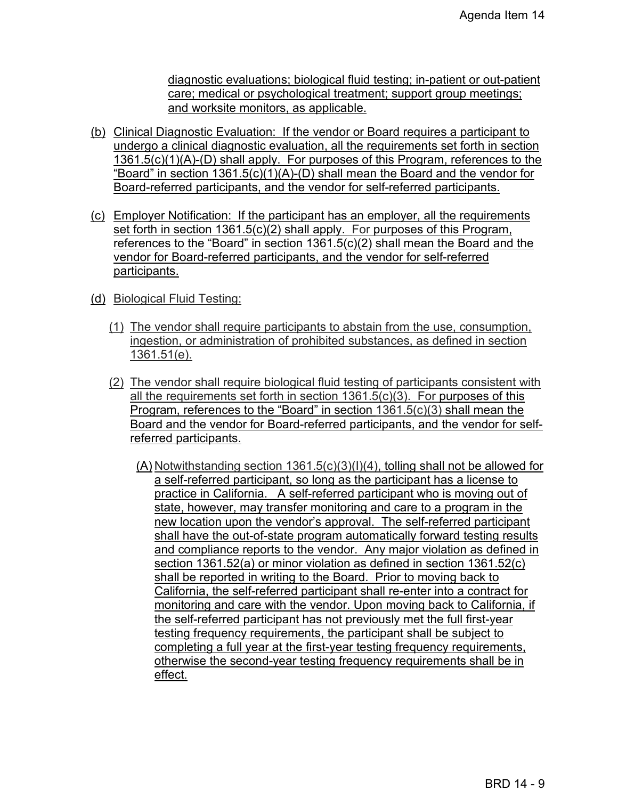diagnostic evaluations; biological fluid testing; in-patient or out-patient care; medical or psychological treatment; support group meetings; and worksite monitors, as applicable.

- (b) Clinical Diagnostic Evaluation: If the vendor or Board requires a participant to undergo a clinical diagnostic evaluation, all the requirements set forth in section 1361.5(c)(1)(A)-(D) shall apply. For purposes of this Program, references to the "Board" in section 1361.5(c)(1)(A)-(D) shall mean the Board and the vendor for Board-referred participants, and the vendor for self-referred participants.
- (c) Employer Notification: If the participant has an employer, all the requirements set forth in section 1361.5(c)(2) shall apply. For purposes of this Program, references to the "Board" in section 1361.5(c)(2) shall mean the Board and the vendor for Board-referred participants, and the vendor for self-referred participants.
- (d) Biological Fluid Testing:
	- (1) The vendor shall require participants to abstain from the use, consumption, ingestion, or administration of prohibited substances, as defined in section 1361.51(e).
	- (2) The vendor shall require biological fluid testing of participants consistent with all the requirements set forth in section 1361.5(c)(3). For purposes of this Program, references to the "Board" in section 1361.5(c)(3) shall mean the Board and the vendor for Board-referred participants, and the vendor for selfreferred participants.
		- (A) Notwithstanding section 1361.5(c)(3)(I)(4), tolling shall not be allowed for a self-referred participant, so long as the participant has a license to practice in California. A self-referred participant who is moving out of state, however, may transfer monitoring and care to a program in the new location upon the vendor's approval. The self-referred participant shall have the out-of-state program automatically forward testing results and compliance reports to the vendor. Any major violation as defined in section 1361.52(a) or minor violation as defined in section 1361.52(c) shall be reported in writing to the Board. Prior to moving back to California, the self-referred participant shall re-enter into a contract for monitoring and care with the vendor. Upon moving back to California, if the self-referred participant has not previously met the full first-year testing frequency requirements, the participant shall be subject to completing a full year at the first-year testing frequency requirements, otherwise the second-year testing frequency requirements shall be in effect.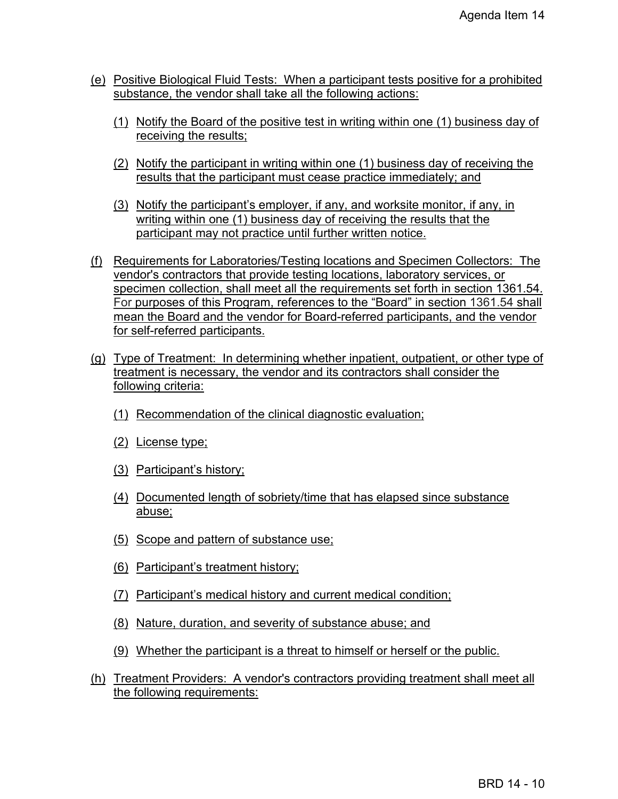- (e) Positive Biological Fluid Tests: When a participant tests positive for a prohibited substance, the vendor shall take all the following actions:
	- (1) Notify the Board of the positive test in writing within one (1) business day of receiving the results;
	- (2) Notify the participant in writing within one (1) business day of receiving the results that the participant must cease practice immediately; and
	- (3) Notify the participant's employer, if any, and worksite monitor, if any, in writing within one (1) business day of receiving the results that the participant may not practice until further written notice.
- (f) Requirements for Laboratories/Testing locations and Specimen Collectors: The vendor's contractors that provide testing locations, laboratory services, or specimen collection, shall meet all the requirements set forth in section 1361.54. For purposes of this Program, references to the "Board" in section 1361.54 shall mean the Board and the vendor for Board-referred participants, and the vendor for self-referred participants.
- (g) Type of Treatment: In determining whether inpatient, outpatient, or other type of treatment is necessary, the vendor and its contractors shall consider the following criteria:
	- (1) Recommendation of the clinical diagnostic evaluation;
	- (2) License type;
	- (3) Participant's history;
	- (4) Documented length of sobriety/time that has elapsed since substance abuse;
	- (5) Scope and pattern of substance use;
	- (6) Participant's treatment history;
	- (7) Participant's medical history and current medical condition;
	- (8) Nature, duration, and severity of substance abuse; and
	- (9) Whether the participant is a threat to himself or herself or the public.
- (h) Treatment Providers: A vendor's contractors providing treatment shall meet all the following requirements: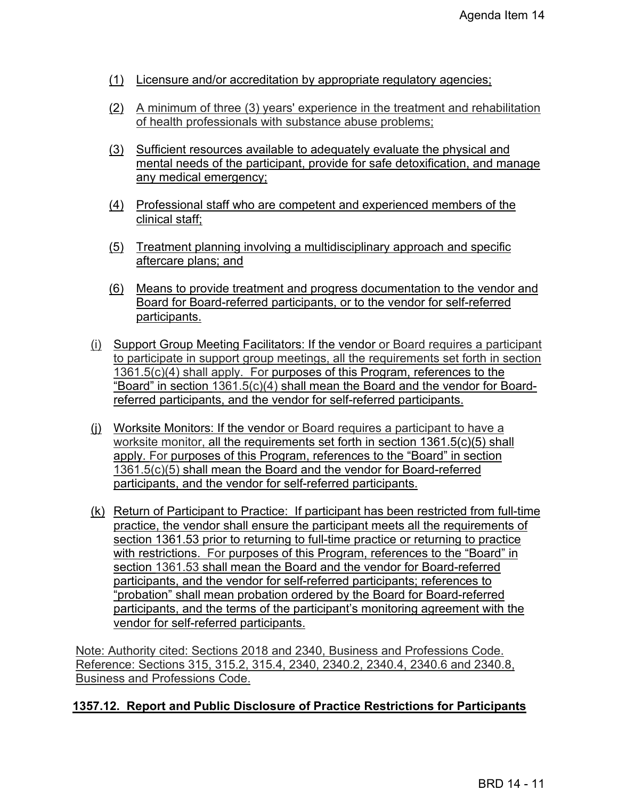- (1) Licensure and/or accreditation by appropriate regulatory agencies;
- (2) A minimum of three (3) years' experience in the treatment and rehabilitation of health professionals with substance abuse problems;
- (3) Sufficient resources available to adequately evaluate the physical and mental needs of the participant, provide for safe detoxification, and manage any medical emergency;
- (4) Professional staff who are competent and experienced members of the clinical staff;
- (5) Treatment planning involving a multidisciplinary approach and specific aftercare plans; and
- (6) Means to provide treatment and progress documentation to the vendor and Board for Board-referred participants, or to the vendor for self-referred participants.
- (i) Support Group Meeting Facilitators: If the vendor or Board requires a participant to participate in support group meetings, all the requirements set forth in section 1361.5(c)(4) shall apply. For purposes of this Program, references to the "Board" in section 1361.5(c)(4) shall mean the Board and the vendor for Boardreferred participants, and the vendor for self-referred participants.
- (j) Worksite Monitors: If the vendor or Board requires a participant to have a worksite monitor, all the requirements set forth in section 1361.5(c)(5) shall apply. For purposes of this Program, references to the "Board" in section 1361.5(c)(5) shall mean the Board and the vendor for Board-referred participants, and the vendor for self-referred participants.
- (k) Return of Participant to Practice: If participant has been restricted from full-time practice, the vendor shall ensure the participant meets all the requirements of section 1361.53 prior to returning to full-time practice or returning to practice with restrictions. For purposes of this Program, references to the "Board" in section 1361.53 shall mean the Board and the vendor for Board-referred participants, and the vendor for self-referred participants; references to "probation" shall mean probation ordered by the Board for Board-referred participants, and the terms of the participant's monitoring agreement with the vendor for self-referred participants.

Note: Authority cited: Sections 2018 and 2340, Business and Professions Code. Reference: Sections 315, 315.2, 315.4, 2340, 2340.2, 2340.4, 2340.6 and 2340.8, Business and Professions Code.

# **1357.12. Report and Public Disclosure of Practice Restrictions for Participants**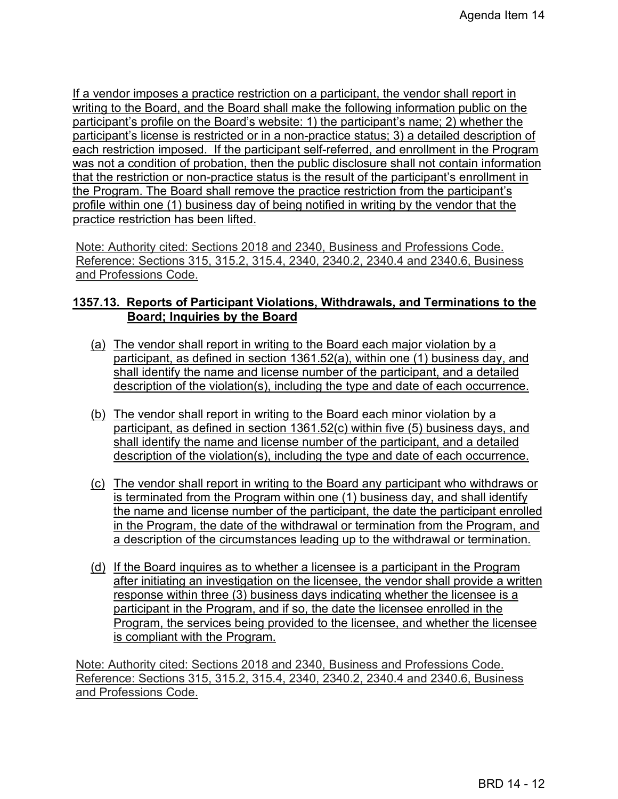If a vendor imposes a practice restriction on a participant, the vendor shall report in writing to the Board, and the Board shall make the following information public on the participant's profile on the Board's website: 1) the participant's name; 2) whether the participant's license is restricted or in a non-practice status; 3) a detailed description of each restriction imposed. If the participant self-referred, and enrollment in the Program was not a condition of probation, then the public disclosure shall not contain information that the restriction or non-practice status is the result of the participant's enrollment in the Program. The Board shall remove the practice restriction from the participant's profile within one (1) business day of being notified in writing by the vendor that the practice restriction has been lifted.

Note: Authority cited: Sections 2018 and 2340, Business and Professions Code. Reference: Sections 315, 315.2, 315.4, 2340, 2340.2, 2340.4 and 2340.6, Business and Professions Code.

## **1357.13. Reports of Participant Violations, Withdrawals, and Terminations to the Board; Inquiries by the Board**

- (a) The vendor shall report in writing to the Board each major violation by a participant, as defined in section 1361.52(a), within one (1) business day, and shall identify the name and license number of the participant, and a detailed description of the violation(s), including the type and date of each occurrence.
- (b) The vendor shall report in writing to the Board each minor violation by a participant, as defined in section 1361.52(c) within five (5) business days, and shall identify the name and license number of the participant, and a detailed description of the violation(s), including the type and date of each occurrence.
- (c) The vendor shall report in writing to the Board any participant who withdraws or is terminated from the Program within one (1) business day, and shall identify the name and license number of the participant, the date the participant enrolled in the Program, the date of the withdrawal or termination from the Program, and a description of the circumstances leading up to the withdrawal or termination.
- (d) If the Board inquires as to whether a licensee is a participant in the Program after initiating an investigation on the licensee, the vendor shall provide a written response within three (3) business days indicating whether the licensee is a participant in the Program, and if so, the date the licensee enrolled in the Program, the services being provided to the licensee, and whether the licensee is compliant with the Program.

Note: Authority cited: Sections 2018 and 2340, Business and Professions Code. Reference: Sections 315, 315.2, 315.4, 2340, 2340.2, 2340.4 and 2340.6, Business and Professions Code.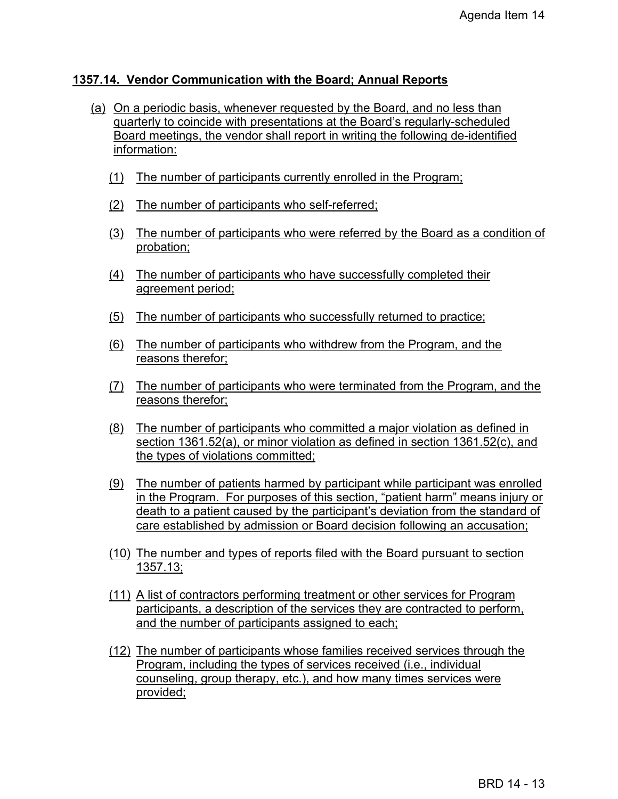#### **1357.14. Vendor Communication with the Board; Annual Reports**

- (a) On a periodic basis, whenever requested by the Board, and no less than quarterly to coincide with presentations at the Board's regularly-scheduled Board meetings, the vendor shall report in writing the following de-identified information:
	- (1) The number of participants currently enrolled in the Program;
	- (2) The number of participants who self-referred;
	- (3) The number of participants who were referred by the Board as a condition of probation;
	- (4) The number of participants who have successfully completed their agreement period;
	- (5) The number of participants who successfully returned to practice;
	- (6) The number of participants who withdrew from the Program, and the reasons therefor;
	- (7) The number of participants who were terminated from the Program, and the reasons therefor;
	- (8) The number of participants who committed a major violation as defined in section 1361.52(a), or minor violation as defined in section 1361.52(c), and the types of violations committed;
	- (9) The number of patients harmed by participant while participant was enrolled in the Program. For purposes of this section, "patient harm" means injury or death to a patient caused by the participant's deviation from the standard of care established by admission or Board decision following an accusation;
	- (10) The number and types of reports filed with the Board pursuant to section 1357.13;
	- (11) A list of contractors performing treatment or other services for Program participants, a description of the services they are contracted to perform, and the number of participants assigned to each;
	- (12) The number of participants whose families received services through the Program, including the types of services received (i.e., individual counseling, group therapy, etc.), and how many times services were provided;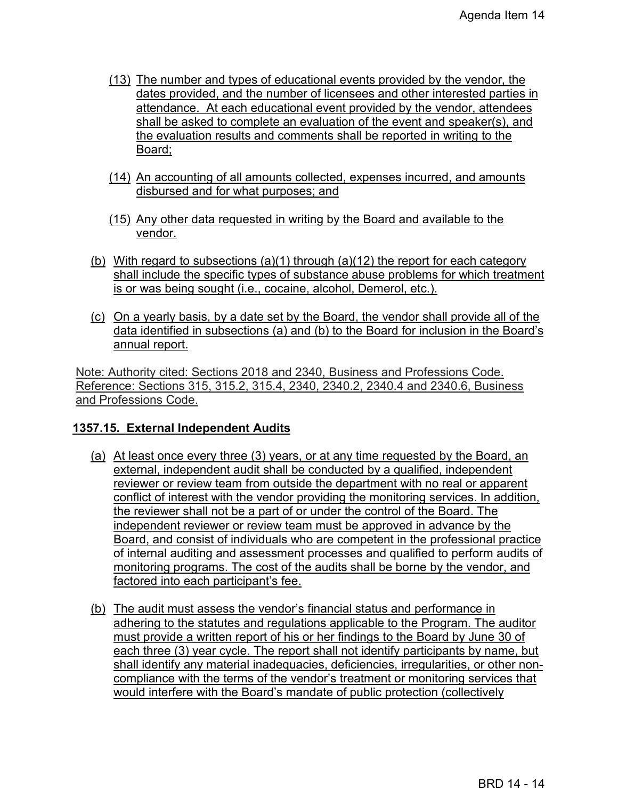- (13) The number and types of educational events provided by the vendor, the dates provided, and the number of licensees and other interested parties in attendance. At each educational event provided by the vendor, attendees shall be asked to complete an evaluation of the event and speaker(s), and the evaluation results and comments shall be reported in writing to the Board;
- (14) An accounting of all amounts collected, expenses incurred, and amounts disbursed and for what purposes; and
- (15) Any other data requested in writing by the Board and available to the vendor.
- (b) With regard to subsections (a)(1) through (a)(12) the report for each category shall include the specific types of substance abuse problems for which treatment is or was being sought (i.e., cocaine, alcohol, Demerol, etc.).
- (c) On a yearly basis, by a date set by the Board, the vendor shall provide all of the data identified in subsections (a) and (b) to the Board for inclusion in the Board's annual report.

Note: Authority cited: Sections 2018 and 2340, Business and Professions Code. Reference: Sections 315, 315.2, 315.4, 2340, 2340.2, 2340.4 and 2340.6, Business and Professions Code.

# **1357.15. External Independent Audits**

- (a) At least once every three (3) years, or at any time requested by the Board, an external, independent audit shall be conducted by a qualified, independent reviewer or review team from outside the department with no real or apparent conflict of interest with the vendor providing the monitoring services. In addition, the reviewer shall not be a part of or under the control of the Board. The independent reviewer or review team must be approved in advance by the Board, and consist of individuals who are competent in the professional practice of internal auditing and assessment processes and qualified to perform audits of monitoring programs. The cost of the audits shall be borne by the vendor, and factored into each participant's fee.
- (b) The audit must assess the vendor's financial status and performance in adhering to the statutes and regulations applicable to the Program. The auditor must provide a written report of his or her findings to the Board by June 30 of each three (3) year cycle. The report shall not identify participants by name, but shall identify any material inadequacies, deficiencies, irregularities, or other noncompliance with the terms of the vendor's treatment or monitoring services that would interfere with the Board's mandate of public protection (collectively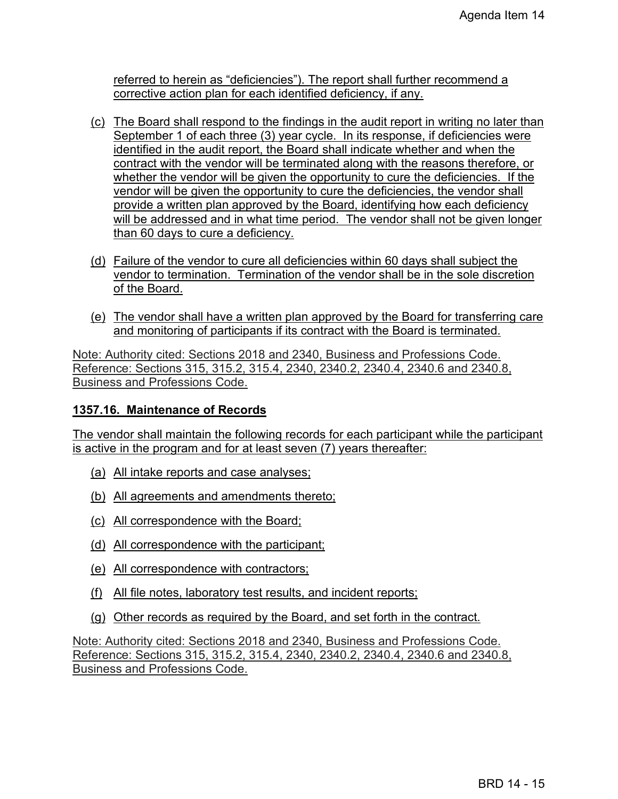referred to herein as "deficiencies"). The report shall further recommend a corrective action plan for each identified deficiency, if any.

- (c) The Board shall respond to the findings in the audit report in writing no later than September 1 of each three (3) year cycle. In its response, if deficiencies were identified in the audit report, the Board shall indicate whether and when the contract with the vendor will be terminated along with the reasons therefore, or whether the vendor will be given the opportunity to cure the deficiencies. If the vendor will be given the opportunity to cure the deficiencies, the vendor shall provide a written plan approved by the Board, identifying how each deficiency will be addressed and in what time period. The vendor shall not be given longer than 60 days to cure a deficiency.
- (d) Failure of the vendor to cure all deficiencies within 60 days shall subject the vendor to termination. Termination of the vendor shall be in the sole discretion of the Board.
- (e) The vendor shall have a written plan approved by the Board for transferring care and monitoring of participants if its contract with the Board is terminated.

Note: Authority cited: Sections 2018 and 2340, Business and Professions Code. Reference: Sections 315, 315.2, 315.4, 2340, 2340.2, 2340.4, 2340.6 and 2340.8, Business and Professions Code.

# **1357.16. Maintenance of Records**

The vendor shall maintain the following records for each participant while the participant is active in the program and for at least seven (7) years thereafter:

- (a) All intake reports and case analyses;
- (b) All agreements and amendments thereto;
- (c) All correspondence with the Board;
- (d) All correspondence with the participant;
- (e) All correspondence with contractors;
- (f) All file notes, laboratory test results, and incident reports;
- (g) Other records as required by the Board, and set forth in the contract.

Note: Authority cited: Sections 2018 and 2340, Business and Professions Code. Reference: Sections 315, 315.2, 315.4, 2340, 2340.2, 2340.4, 2340.6 and 2340.8, Business and Professions Code.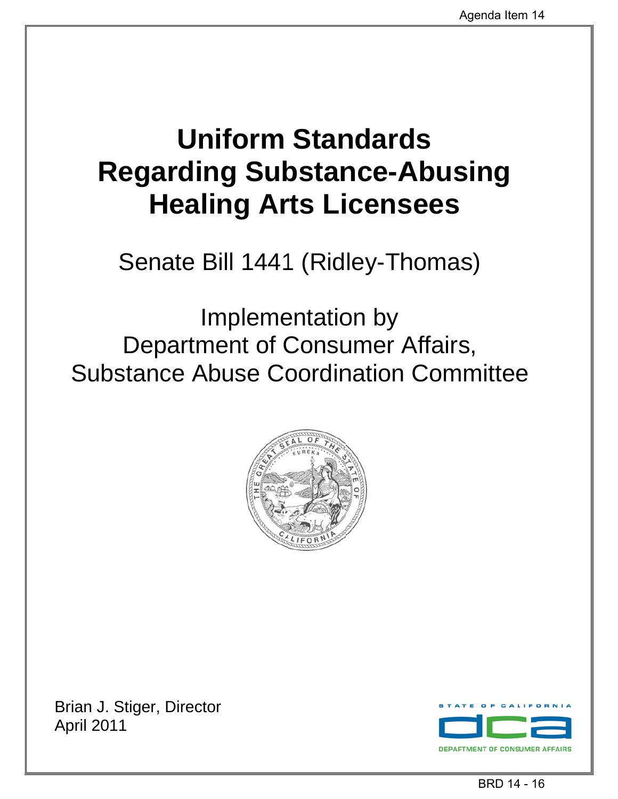# **Uniform Standards Regarding Substance-Abusing Healing Arts Licensees**

Senate Bill 1441 (Ridley-Thomas)

Implementation by Department of Consumer Affairs, Substance Abuse Coordination Committee



Brian J. Stiger, Director April 2011

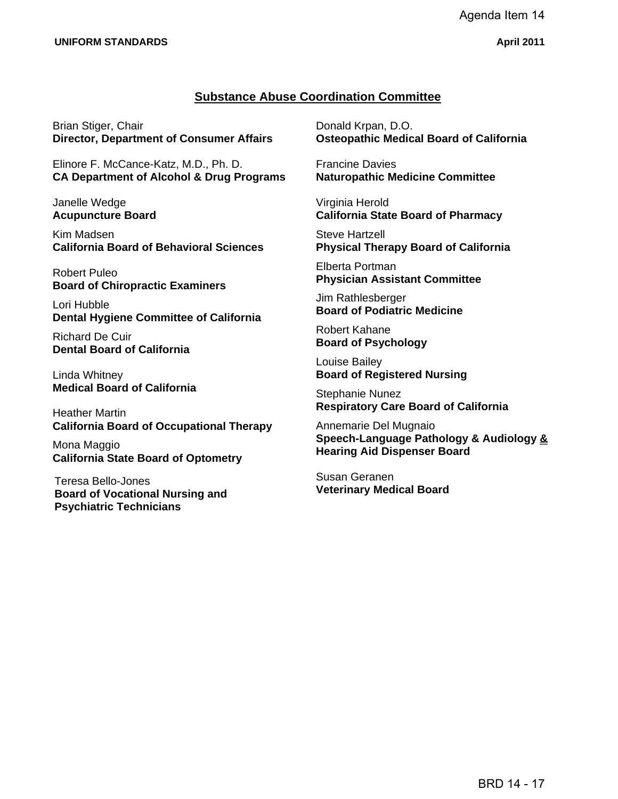#### **Substance Abuse Coordination Committee**

Brian Stiger, Chair **Director, Department of Consumer Affairs** 

Elinore F. McCance-Katz, M.D., Ph. D. **CA Department of Alcohol & Drug Programs** 

Janelle Wedge **Acupuncture Board** 

Kim Madsen **California Board of Behavioral Sciences** 

Robert Puleo **Board of Chiropractic Examiners** 

Lori Hubble **Dental Hygiene Committee of California** 

Richard De Cuir **Dental Board of California** 

Linda Whitney **Medical Board of California** 

Heather Martin **California Board of Occupational Therapy** 

Mona Maggio **California State Board of Optometry** 

Teresa Bello-Jones **Board of Vocational Nursing and Psychiatric Technicians** 

Donald Krpan, D.O. **Osteopathic Medical Board of California** 

Francine Davies **Naturopathic Medicine Committee** 

Virginia Herold **California State Board of Pharmacy** 

Steve Hartzell **Physical Therapy Board of California** 

Elberta Portman **Physician Assistant Committee** 

Jim Rathlesberger **Board of Podiatric Medicine** 

Robert Kahane **Board of Psychology** 

Louise Bailey **Board of Registered Nursing** 

Stephanie Nunez **Respiratory Care Board of California** 

Annemarie Del Mugnaio **Speech-Language Pathology & Audiology & Hearing Aid Dispenser Board** 

Susan Geranen **Veterinary Medical Board**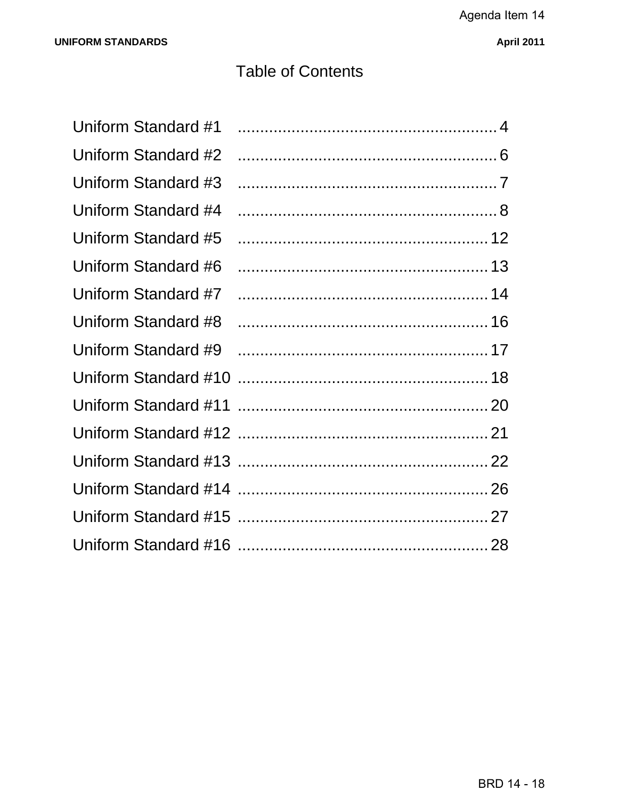# **Table of Contents**

| Uniform Standard #1 |  |
|---------------------|--|
| Uniform Standard #2 |  |
| Uniform Standard #3 |  |
| Uniform Standard #4 |  |
| Uniform Standard #5 |  |
| Uniform Standard #6 |  |
| Uniform Standard #7 |  |
| Uniform Standard #8 |  |
| Uniform Standard #9 |  |
|                     |  |
|                     |  |
|                     |  |
|                     |  |
|                     |  |
|                     |  |
|                     |  |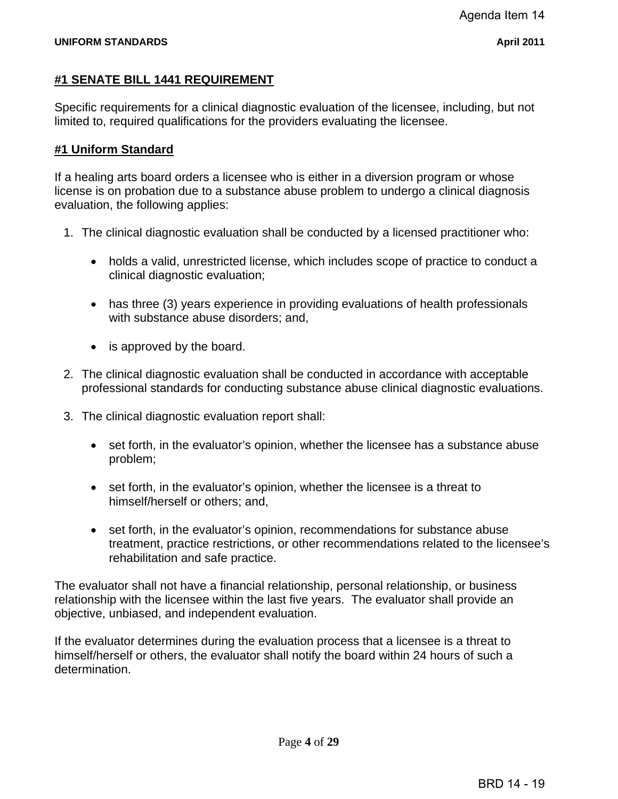# **#1 SENATE BILL 1441 REQUIREMENT**

Specific requirements for a clinical diagnostic evaluation of the licensee, including, but not limited to, required qualifications for the providers evaluating the licensee.

# **#1 Uniform Standard**

If a healing arts board orders a licensee who is either in a diversion program or whose license is on probation due to a substance abuse problem to undergo a clinical diagnosis evaluation, the following applies:

- 1. The clinical diagnostic evaluation shall be conducted by a licensed practitioner who:
	- holds a valid, unrestricted license, which includes scope of practice to conduct a clinical diagnostic evaluation;
	- has three (3) years experience in providing evaluations of health professionals with substance abuse disorders; and,
	- is approved by the board.
- 2. The clinical diagnostic evaluation shall be conducted in accordance with acceptable professional standards for conducting substance abuse clinical diagnostic evaluations.
- 3. The clinical diagnostic evaluation report shall:
	- set forth, in the evaluator's opinion, whether the licensee has a substance abuse problem;
	- set forth, in the evaluator's opinion, whether the licensee is a threat to himself/herself or others; and,
	- set forth, in the evaluator's opinion, recommendations for substance abuse treatment, practice restrictions, or other recommendations related to the licensee's rehabilitation and safe practice.

The evaluator shall not have a financial relationship, personal relationship, or business relationship with the licensee within the last five years. The evaluator shall provide an objective, unbiased, and independent evaluation.

If the evaluator determines during the evaluation process that a licensee is a threat to himself/herself or others, the evaluator shall notify the board within 24 hours of such a determination.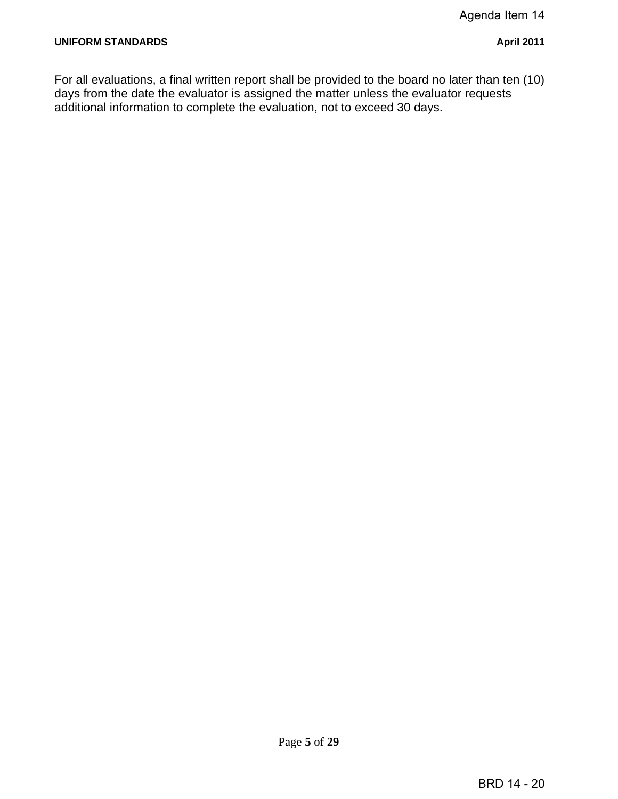For all evaluations, a final written report shall be provided to the board no later than ten (10) days from the date the evaluator is assigned the matter unless the evaluator requests additional information to complete the evaluation, not to exceed 30 days.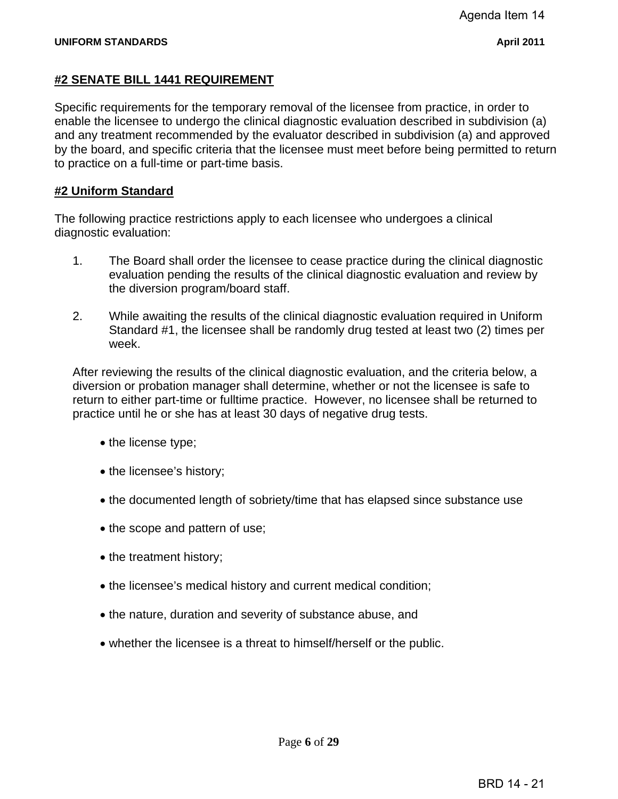# **#2 SENATE BILL 1441 REQUIREMENT**

Specific requirements for the temporary removal of the licensee from practice, in order to enable the licensee to undergo the clinical diagnostic evaluation described in subdivision (a) and any treatment recommended by the evaluator described in subdivision (a) and approved by the board, and specific criteria that the licensee must meet before being permitted to return to practice on a full-time or part-time basis.

# **#2 Uniform Standard**

The following practice restrictions apply to each licensee who undergoes a clinical diagnostic evaluation:

- 1. The Board shall order the licensee to cease practice during the clinical diagnostic evaluation pending the results of the clinical diagnostic evaluation and review by the diversion program/board staff.
- 2. While awaiting the results of the clinical diagnostic evaluation required in Uniform Standard #1, the licensee shall be randomly drug tested at least two (2) times per week.

After reviewing the results of the clinical diagnostic evaluation, and the criteria below, a diversion or probation manager shall determine, whether or not the licensee is safe to return to either part-time or fulltime practice. However, no licensee shall be returned to practice until he or she has at least 30 days of negative drug tests.

- the license type;
- the licensee's history;
- the documented length of sobriety/time that has elapsed since substance use
- the scope and pattern of use;
- the treatment history;
- the licensee's medical history and current medical condition;
- the nature, duration and severity of substance abuse, and
- whether the licensee is a threat to himself/herself or the public.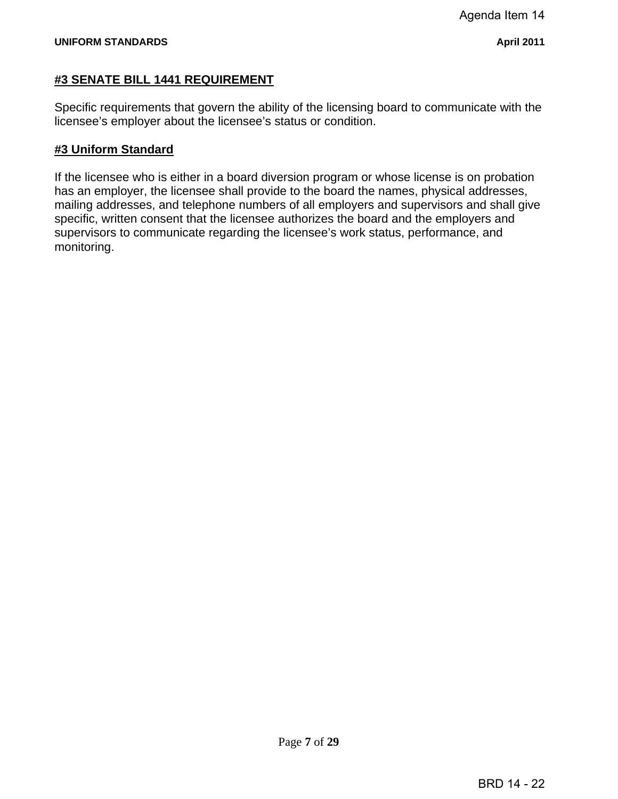#### **#3 SENATE BILL 1441 REQUIREMENT**

Specific requirements that govern the ability of the licensing board to communicate with the licensee's employer about the licensee's status or condition.

#### **#3 Uniform Standard**

If the licensee who is either in a board diversion program or whose license is on probation has an employer, the licensee shall provide to the board the names, physical addresses, mailing addresses, and telephone numbers of all employers and supervisors and shall give specific, written consent that the licensee authorizes the board and the employers and supervisors to communicate regarding the licensee's work status, performance, and monitoring.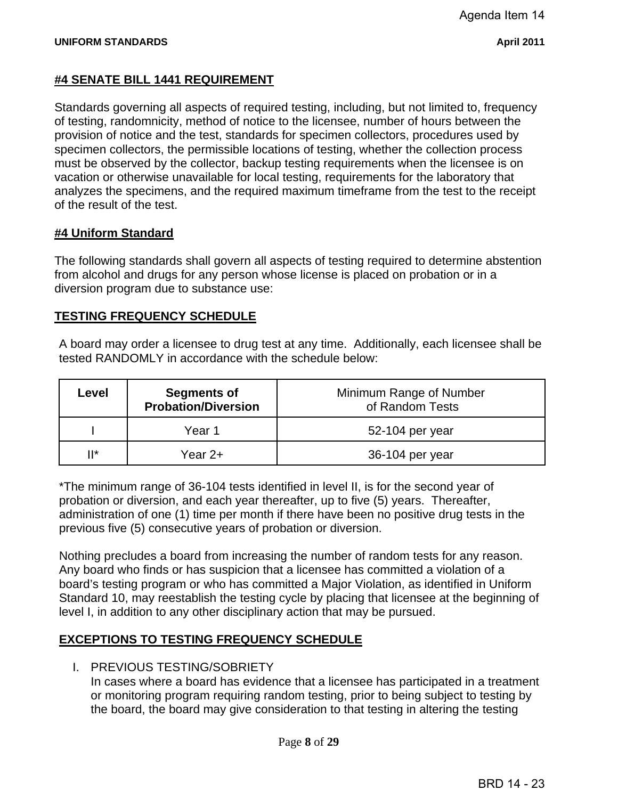# **#4 SENATE BILL 1441 REQUIREMENT**

Standards governing all aspects of required testing, including, but not limited to, frequency of testing, randomnicity, method of notice to the licensee, number of hours between the provision of notice and the test, standards for specimen collectors, procedures used by specimen collectors, the permissible locations of testing, whether the collection process must be observed by the collector, backup testing requirements when the licensee is on vacation or otherwise unavailable for local testing, requirements for the laboratory that analyzes the specimens, and the required maximum timeframe from the test to the receipt of the result of the test.

# **#4 Uniform Standard**

The following standards shall govern all aspects of testing required to determine abstention from alcohol and drugs for any person whose license is placed on probation or in a diversion program due to substance use:

# **TESTING FREQUENCY SCHEDULE**

A board may order a licensee to drug test at any time. Additionally, each licensee shall be tested RANDOMLY in accordance with the schedule below:

| Level | <b>Segments of</b><br><b>Probation/Diversion</b> | Minimum Range of Number<br>of Random Tests |
|-------|--------------------------------------------------|--------------------------------------------|
|       | Year 1                                           | 52-104 per year                            |
| " ا ا | Year 2+                                          | 36-104 per year                            |

\*The minimum range of 36-104 tests identified in level II, is for the second year of probation or diversion, and each year thereafter, up to five (5) years. Thereafter, administration of one (1) time per month if there have been no positive drug tests in the previous five (5) consecutive years of probation or diversion.

Nothing precludes a board from increasing the number of random tests for any reason. Any board who finds or has suspicion that a licensee has committed a violation of a board's testing program or who has committed a Major Violation, as identified in Uniform Standard 10, may reestablish the testing cycle by placing that licensee at the beginning of level I, in addition to any other disciplinary action that may be pursued.

# **EXCEPTIONS TO TESTING FREQUENCY SCHEDULE**

I. PREVIOUS TESTING/SOBRIETY

In cases where a board has evidence that a licensee has participated in a treatment or monitoring program requiring random testing, prior to being subject to testing by the board, the board may give consideration to that testing in altering the testing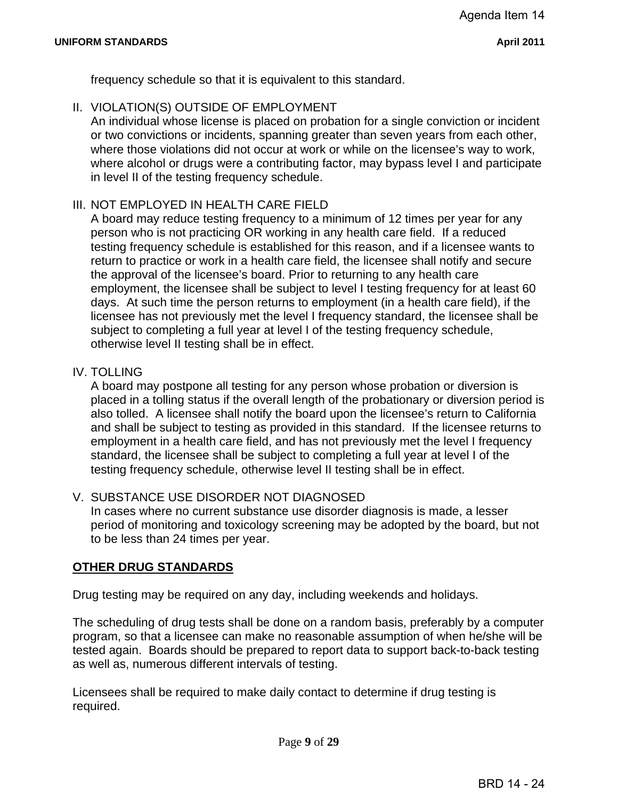frequency schedule so that it is equivalent to this standard.

II. VIOLATION(S) OUTSIDE OF EMPLOYMENT

An individual whose license is placed on probation for a single conviction or incident or two convictions or incidents, spanning greater than seven years from each other, where those violations did not occur at work or while on the licensee's way to work, where alcohol or drugs were a contributing factor, may bypass level I and participate in level II of the testing frequency schedule.

#### III. NOT EMPLOYED IN HEALTH CARE FIELD

A board may reduce testing frequency to a minimum of 12 times per year for any person who is not practicing OR working in any health care field. If a reduced testing frequency schedule is established for this reason, and if a licensee wants to return to practice or work in a health care field, the licensee shall notify and secure the approval of the licensee's board. Prior to returning to any health care employment, the licensee shall be subject to level I testing frequency for at least 60 days. At such time the person returns to employment (in a health care field), if the licensee has not previously met the level I frequency standard, the licensee shall be subject to completing a full year at level I of the testing frequency schedule, otherwise level II testing shall be in effect.

#### IV. TOLLING

A board may postpone all testing for any person whose probation or diversion is placed in a tolling status if the overall length of the probationary or diversion period is also tolled. A licensee shall notify the board upon the licensee's return to California and shall be subject to testing as provided in this standard. If the licensee returns to employment in a health care field, and has not previously met the level I frequency standard, the licensee shall be subject to completing a full year at level I of the testing frequency schedule, otherwise level II testing shall be in effect.

#### V. SUBSTANCE USE DISORDER NOT DIAGNOSED

In cases where no current substance use disorder diagnosis is made, a lesser period of monitoring and toxicology screening may be adopted by the board, but not to be less than 24 times per year.

#### **OTHER DRUG STANDARDS**

Drug testing may be required on any day, including weekends and holidays.

The scheduling of drug tests shall be done on a random basis, preferably by a computer program, so that a licensee can make no reasonable assumption of when he/she will be tested again. Boards should be prepared to report data to support back-to-back testing as well as, numerous different intervals of testing.

Licensees shall be required to make daily contact to determine if drug testing is required.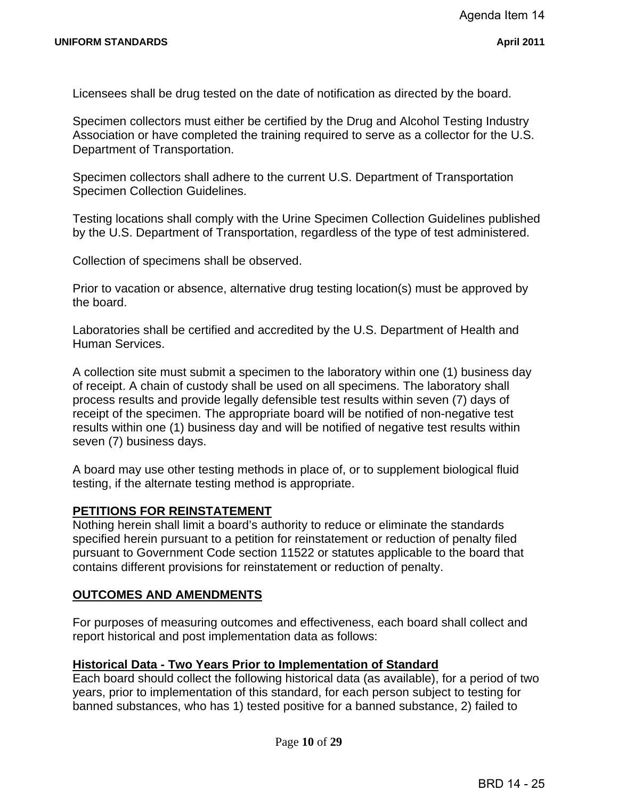Licensees shall be drug tested on the date of notification as directed by the board.

Specimen collectors must either be certified by the Drug and Alcohol Testing Industry Association or have completed the training required to serve as a collector for the U.S. Department of Transportation.

**Specimen Collection Guidelines.** Specimen collectors shall adhere to the current U.S. Department of Transportation

Testing locations shall comply with the Urine Specimen Collection Guidelines published by the U.S. Department of Transportation, regardless of the type of test administered.

Collection of specimens shall be observed.

Prior to vacation or absence, alternative drug testing location(s) must be approved by the board.

Laboratories shall be certified and accredited by the U.S. Department of Health and Human Services.

A collection site must submit a specimen to the laboratory within one (1) business day of receipt. A chain of custody shall be used on all specimens. The laboratory shall process results and provide legally defensible test results within seven (7) days of receipt of the specimen. The appropriate board will be notified of non-negative test results within one (1) business day and will be notified of negative test results within seven (7) business days.

A board may use other testing methods in place of, or to supplement biological fluid testing, if the alternate testing method is appropriate.

#### **PETITIONS FOR REINSTATEMENT**

Nothing herein shall limit a board's authority to reduce or eliminate the standards specified herein pursuant to a petition for reinstatement or reduction of penalty filed pursuant to Government Code section 11522 or statutes applicable to the board that contains different provisions for reinstatement or reduction of penalty.

#### **OUTCOMES AND AMENDMENTS**

For purposes of measuring outcomes and effectiveness, each board shall collect and report historical and post implementation data as follows:

#### **Historical Data - Two Years Prior to Implementation of Standard**

Each board should collect the following historical data (as available), for a period of two years, prior to implementation of this standard, for each person subject to testing for banned substances, who has 1) tested positive for a banned substance, 2) failed to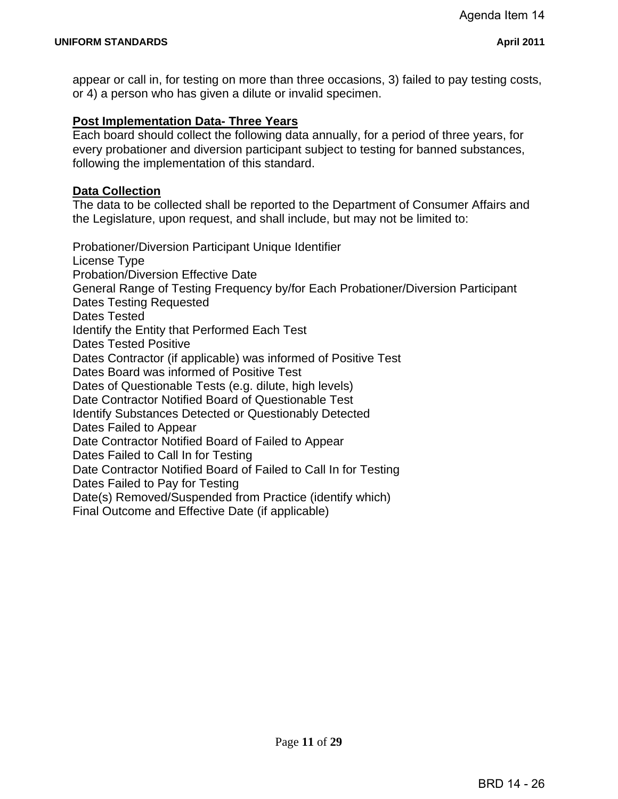appear or call in, for testing on more than three occasions, 3) failed to pay testing costs, or 4) a person who has given a dilute or invalid specimen.

#### **Post Implementation Data- Three Years**

Each board should collect the following data annually, for a period of three years, for every probationer and diversion participant subject to testing for banned substances, following the implementation of this standard.

#### **Data Collection**

The data to be collected shall be reported to the Department of Consumer Affairs and the Legislature, upon request, and shall include, but may not be limited to:

Probationer/Diversion Participant Unique Identifier License Type Probation/Diversion Effective Date General Range of Testing Frequency by/for Each Probationer/Diversion Participant Dates Testing Requested Dates Tested Identify the Entity that Performed Each Test Dates Tested Positive Dates Contractor (if applicable) was informed of Positive Test Dates Board was informed of Positive Test Dates of Questionable Tests (e.g. dilute, high levels) Date Contractor Notified Board of Questionable Test Identify Substances Detected or Questionably Detected Dates Failed to Appear Date Contractor Notified Board of Failed to Appear Dates Failed to Call In for Testing Date Contractor Notified Board of Failed to Call In for Testing Dates Failed to Pay for Testing Date(s) Removed/Suspended from Practice (identify which) Final Outcome and Effective Date (if applicable)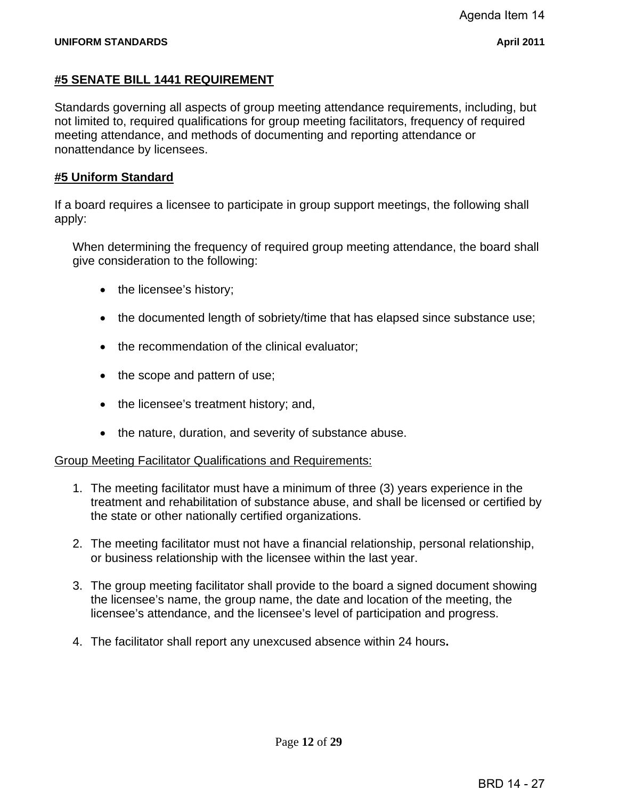#### **#5 SENATE BILL 1441 REQUIREMENT**

Standards governing all aspects of group meeting attendance requirements, including, but not limited to, required qualifications for group meeting facilitators, frequency of required meeting attendance, and methods of documenting and reporting attendance or nonattendance by licensees.

#### **#5 Uniform Standard**

If a board requires a licensee to participate in group support meetings, the following shall apply:

When determining the frequency of required group meeting attendance, the board shall give consideration to the following:

- the licensee's history;
- the documented length of sobriety/time that has elapsed since substance use;
- the recommendation of the clinical evaluator;
- the scope and pattern of use;
- the licensee's treatment history; and,
- the nature, duration, and severity of substance abuse.

#### Group Meeting Facilitator Qualifications and Requirements:

- 1. The meeting facilitator must have a minimum of three (3) years experience in the treatment and rehabilitation of substance abuse, and shall be licensed or certified by the state or other nationally certified organizations.
- 2. The meeting facilitator must not have a financial relationship, personal relationship, or business relationship with the licensee within the last year.
- 3. The group meeting facilitator shall provide to the board a signed document showing the licensee's name, the group name, the date and location of the meeting, the licensee's attendance, and the licensee's level of participation and progress.
- 4. The facilitator shall report any unexcused absence within 24 hours**.**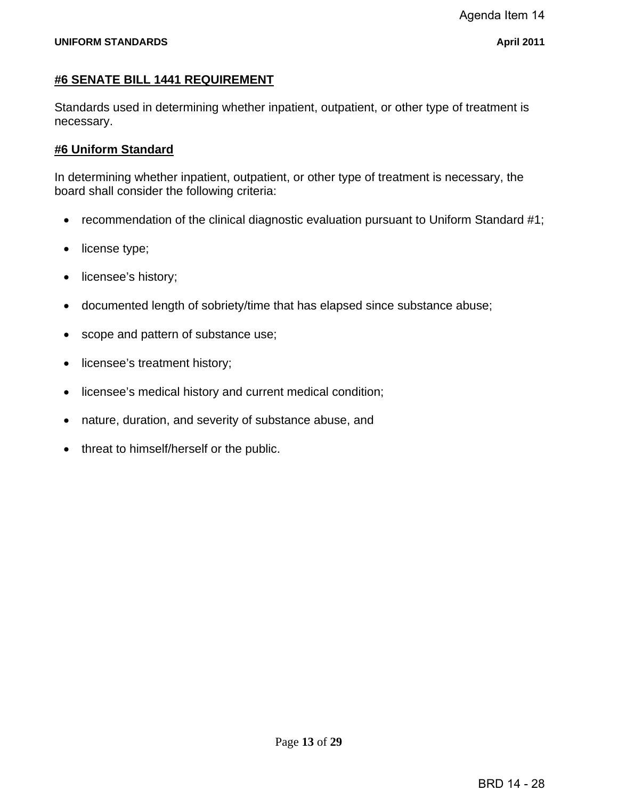#### **#6 SENATE BILL 1441 REQUIREMENT**

Standards used in determining whether inpatient, outpatient, or other type of treatment is necessary.

#### **#6 Uniform Standard**

In determining whether inpatient, outpatient, or other type of treatment is necessary, the board shall consider the following criteria:

- recommendation of the clinical diagnostic evaluation pursuant to Uniform Standard #1;
- license type;
- licensee's history;
- documented length of sobriety/time that has elapsed since substance abuse;
- scope and pattern of substance use;
- licensee's treatment history;
- licensee's medical history and current medical condition;
- nature, duration, and severity of substance abuse, and
- threat to himself/herself or the public.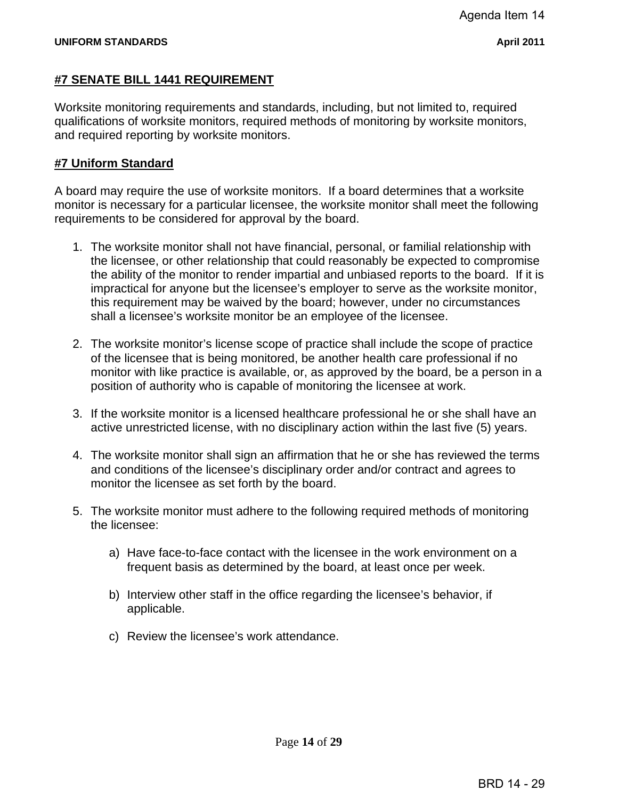# **#7 SENATE BILL 1441 REQUIREMENT**

Worksite monitoring requirements and standards, including, but not limited to, required qualifications of worksite monitors, required methods of monitoring by worksite monitors, and required reporting by worksite monitors.

#### **#7 Uniform Standard**

A board may require the use of worksite monitors. If a board determines that a worksite monitor is necessary for a particular licensee, the worksite monitor shall meet the following requirements to be considered for approval by the board.

- 1. The worksite monitor shall not have financial, personal, or familial relationship with the licensee, or other relationship that could reasonably be expected to compromise the ability of the monitor to render impartial and unbiased reports to the board. If it is impractical for anyone but the licensee's employer to serve as the worksite monitor, this requirement may be waived by the board; however, under no circumstances shall a licensee's worksite monitor be an employee of the licensee.
- 2. The worksite monitor's license scope of practice shall include the scope of practice of the licensee that is being monitored, be another health care professional if no monitor with like practice is available, or, as approved by the board, be a person in a position of authority who is capable of monitoring the licensee at work.
- 3. If the worksite monitor is a licensed healthcare professional he or she shall have an active unrestricted license, with no disciplinary action within the last five (5) years.
- 4. The worksite monitor shall sign an affirmation that he or she has reviewed the terms and conditions of the licensee's disciplinary order and/or contract and agrees to monitor the licensee as set forth by the board.
- 5. The worksite monitor must adhere to the following required methods of monitoring the licensee:
	- a) Have face-to-face contact with the licensee in the work environment on a frequent basis as determined by the board, at least once per week.
	- b) Interview other staff in the office regarding the licensee's behavior, if applicable.
	- c) Review the licensee's work attendance.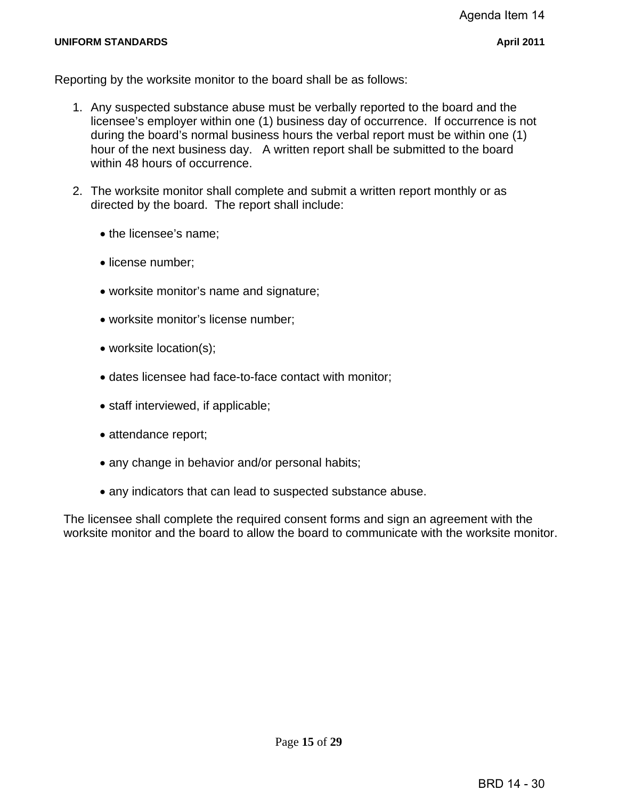Reporting by the worksite monitor to the board shall be as follows:

- 1. Any suspected substance abuse must be verbally reported to the board and the licensee's employer within one (1) business day of occurrence. If occurrence is not during the board's normal business hours the verbal report must be within one (1) hour of the next business day. A written report shall be submitted to the board within 48 hours of occurrence.
- 2. The worksite monitor shall complete and submit a written report monthly or as directed by the board. The report shall include:
	- the licensee's name;
	- license number;
	- worksite monitor's name and signature;
	- worksite monitor's license number;
	- worksite location(s);
	- dates licensee had face-to-face contact with monitor;
	- staff interviewed, if applicable;
	- attendance report;
	- any change in behavior and/or personal habits;
	- any indicators that can lead to suspected substance abuse.

The licensee shall complete the required consent forms and sign an agreement with the worksite monitor and the board to allow the board to communicate with the worksite monitor.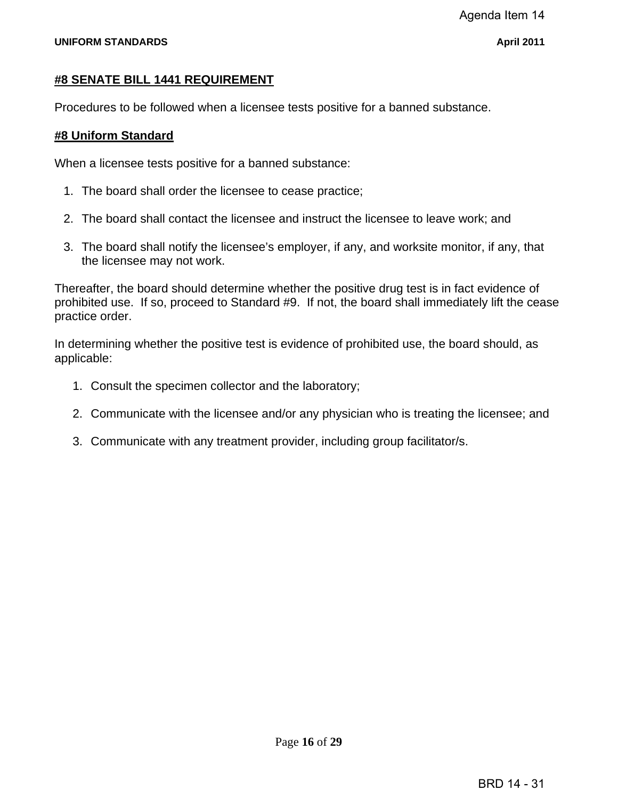#### **#8 SENATE BILL 1441 REQUIREMENT**

Procedures to be followed when a licensee tests positive for a banned substance.

#### **#8 Uniform Standard**

When a licensee tests positive for a banned substance:

- 1. The board shall order the licensee to cease practice;
- 2. The board shall contact the licensee and instruct the licensee to leave work; and
- 3. The board shall notify the licensee's employer, if any, and worksite monitor, if any, that the licensee may not work.

Thereafter, the board should determine whether the positive drug test is in fact evidence of prohibited use. If so, proceed to Standard #9. If not, the board shall immediately lift the cease practice order.

In determining whether the positive test is evidence of prohibited use, the board should, as applicable:

- 1. Consult the specimen collector and the laboratory;
- 2. Communicate with the licensee and/or any physician who is treating the licensee; and
- 3. Communicate with any treatment provider, including group facilitator/s.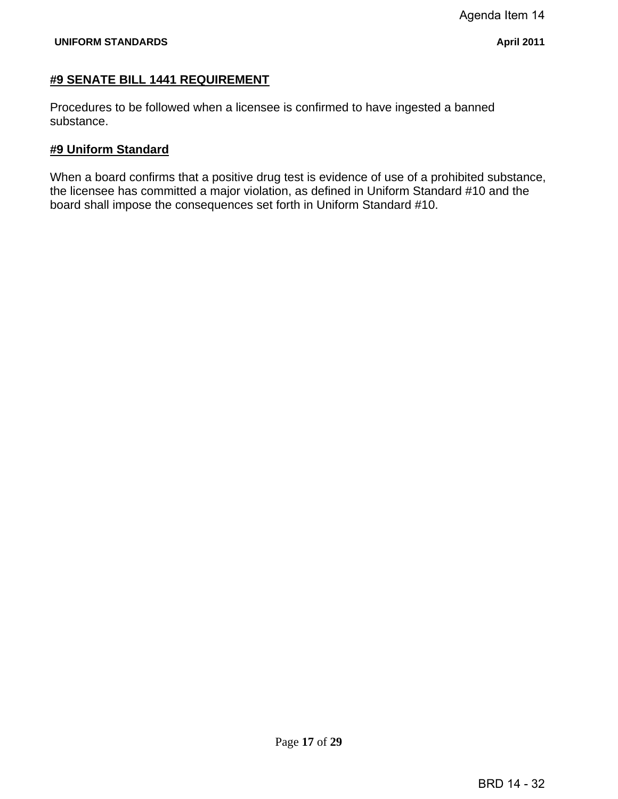#### **#9 SENATE BILL 1441 REQUIREMENT**

Procedures to be followed when a licensee is confirmed to have ingested a banned substance.

#### **#9 Uniform Standard**

When a board confirms that a positive drug test is evidence of use of a prohibited substance, the licensee has committed a major violation, as defined in Uniform Standard #10 and the board shall impose the consequences set forth in Uniform Standard #10.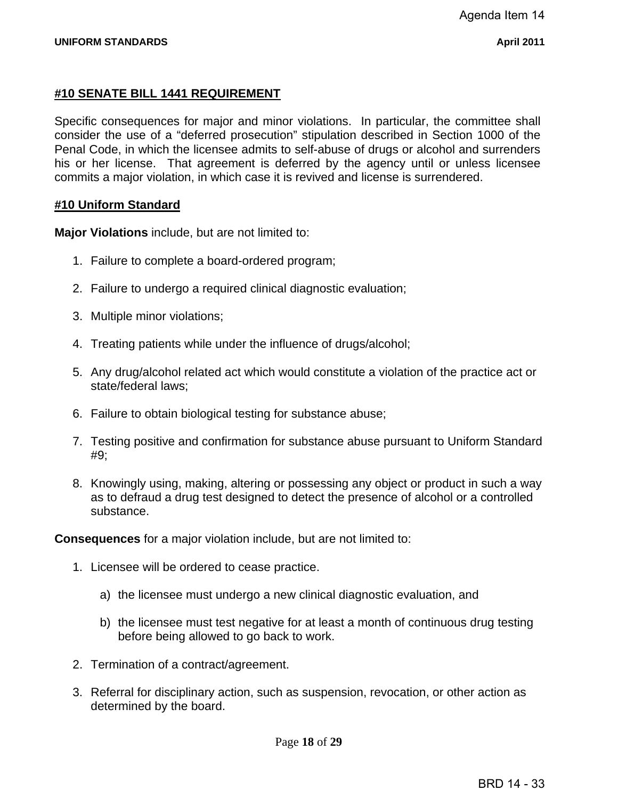# **#10 SENATE BILL 1441 REQUIREMENT**

Specific consequences for major and minor violations. In particular, the committee shall consider the use of a "deferred prosecution" stipulation described in Section 1000 of the Penal Code, in which the licensee admits to self-abuse of drugs or alcohol and surrenders his or her license. That agreement is deferred by the agency until or unless licensee commits a major violation, in which case it is revived and license is surrendered.

# **#10 Uniform Standard**

**Major Violations** include, but are not limited to:

- 1. Failure to complete a board-ordered program;
- 2. Failure to undergo a required clinical diagnostic evaluation;
- 3. Multiple minor violations;
- 4. Treating patients while under the influence of drugs/alcohol;
- 5. Any drug/alcohol related act which would constitute a violation of the practice act or state/federal laws;
- 6. Failure to obtain biological testing for substance abuse;
- 7. Testing positive and confirmation for substance abuse pursuant to Uniform Standard #9;
- 8. Knowingly using, making, altering or possessing any object or product in such a way as to defraud a drug test designed to detect the presence of alcohol or a controlled substance.

**Consequences** for a major violation include, but are not limited to:

- 1. Licensee will be ordered to cease practice.
	- a) the licensee must undergo a new clinical diagnostic evaluation, and
	- b) the licensee must test negative for at least a month of continuous drug testing before being allowed to go back to work.
- 2. Termination of a contract/agreement.
- 3. Referral for disciplinary action, such as suspension, revocation, or other action as determined by the board.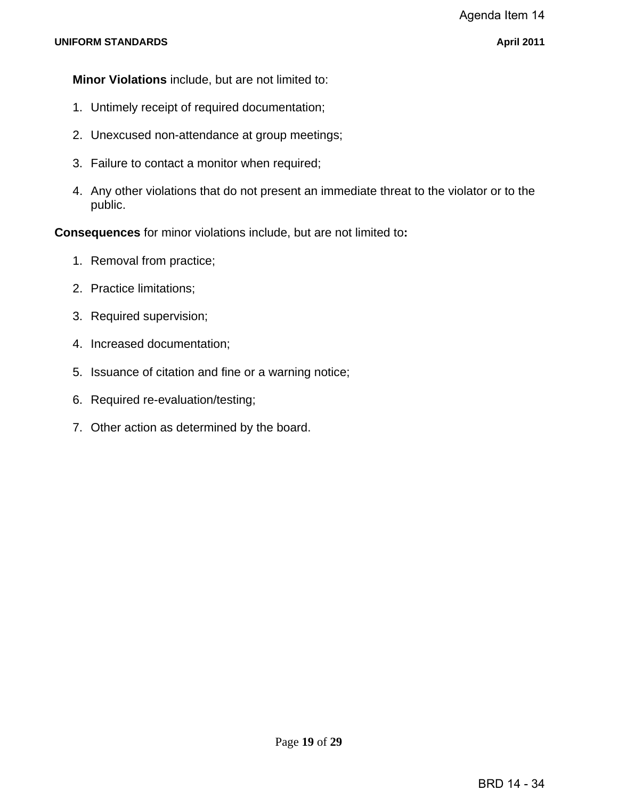**Minor Violations** include, but are not limited to:

- 1. Untimely receipt of required documentation;
- 2. Unexcused non-attendance at group meetings;
- 3. Failure to contact a monitor when required;
- 4. Any other violations that do not present an immediate threat to the violator or to the public.

**Consequences** for minor violations include, but are not limited to**:** 

- 1. Removal from practice;
- 2. Practice limitations;
- 3. Required supervision;
- 4. Increased documentation;
- 5. Issuance of citation and fine or a warning notice;
- 6. Required re-evaluation/testing;
- 7. Other action as determined by the board.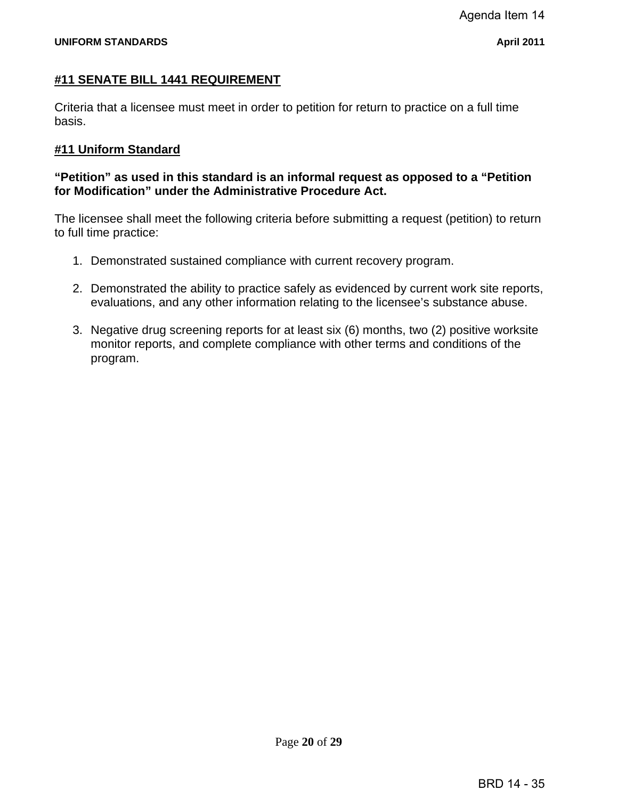#### **#11 SENATE BILL 1441 REQUIREMENT**

Criteria that a licensee must meet in order to petition for return to practice on a full time basis.

#### **#11 Uniform Standard**

#### **"Petition" as used in this standard is an informal request as opposed to a "Petition for Modification" under the Administrative Procedure Act.**

The licensee shall meet the following criteria before submitting a request (petition) to return to full time practice:

- 1. Demonstrated sustained compliance with current recovery program.
- 2. Demonstrated the ability to practice safely as evidenced by current work site reports, evaluations, and any other information relating to the licensee's substance abuse.
- 3. Negative drug screening reports for at least six (6) months, two (2) positive worksite monitor reports, and complete compliance with other terms and conditions of the program.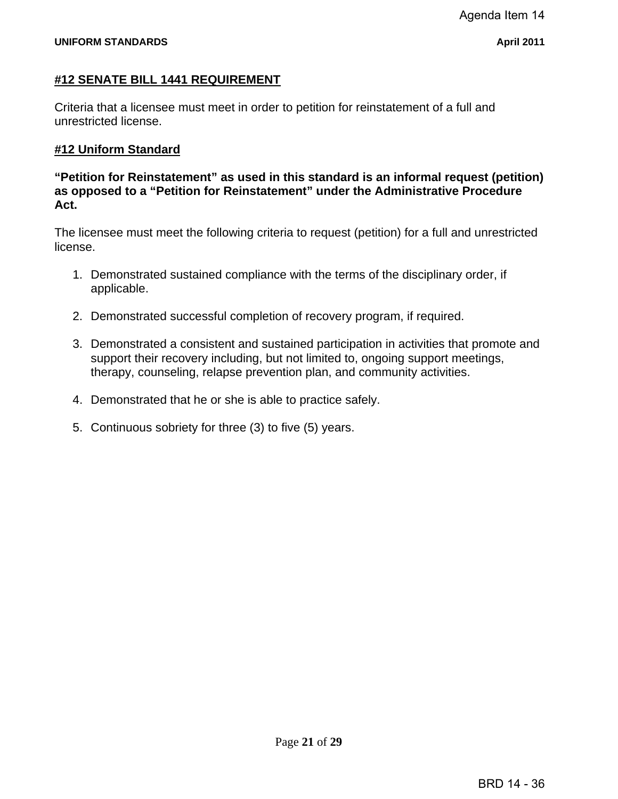# **#12 SENATE BILL 1441 REQUIREMENT**

Criteria that a licensee must meet in order to petition for reinstatement of a full and unrestricted license.

# **#12 Uniform Standard**

**"Petition for Reinstatement" as used in this standard is an informal request (petition) as opposed to a "Petition for Reinstatement" under the Administrative Procedure Act.** 

The licensee must meet the following criteria to request (petition) for a full and unrestricted license.

- 1. Demonstrated sustained compliance with the terms of the disciplinary order, if applicable.
- 2. Demonstrated successful completion of recovery program, if required.
- 3. Demonstrated a consistent and sustained participation in activities that promote and support their recovery including, but not limited to, ongoing support meetings, therapy, counseling, relapse prevention plan, and community activities.
- 4. Demonstrated that he or she is able to practice safely.
- 5. Continuous sobriety for three (3) to five (5) years.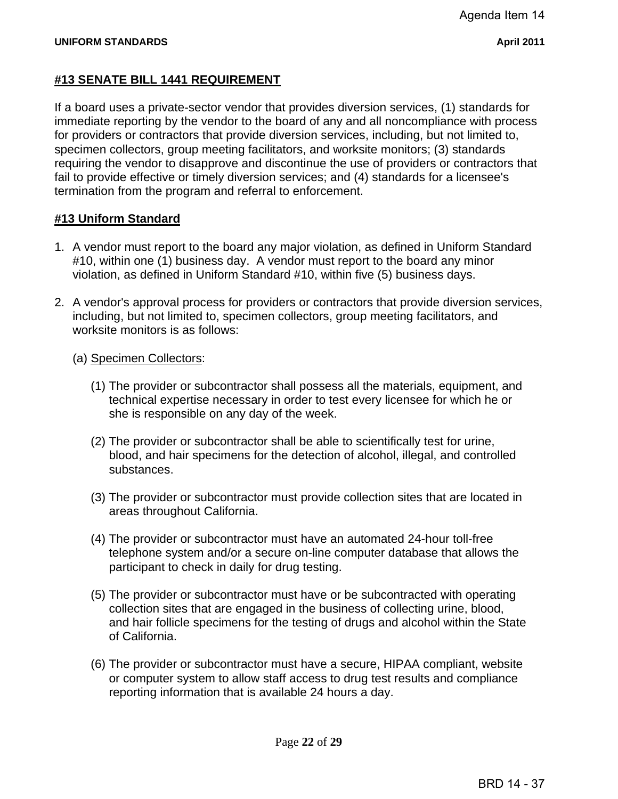## **#13 SENATE BILL 1441 REQUIREMENT**

If a board uses a private-sector vendor that provides diversion services, (1) standards for immediate reporting by the vendor to the board of any and all noncompliance with process for providers or contractors that provide diversion services, including, but not limited to, specimen collectors, group meeting facilitators, and worksite monitors; (3) standards requiring the vendor to disapprove and discontinue the use of providers or contractors that fail to provide effective or timely diversion services; and (4) standards for a licensee's termination from the program and referral to enforcement.

#### **#13 Uniform Standard**

- 1. A vendor must report to the board any major violation, as defined in Uniform Standard #10, within one (1) business day. A vendor must report to the board any minor violation, as defined in Uniform Standard #10, within five (5) business days.
- 2. A vendor's approval process for providers or contractors that provide diversion services, including, but not limited to, specimen collectors, group meeting facilitators, and worksite monitors is as follows:
	- (a) Specimen Collectors:
		- (1) The provider or subcontractor shall possess all the materials, equipment, and technical expertise necessary in order to test every licensee for which he or she is responsible on any day of the week.
		- (2) The provider or subcontractor shall be able to scientifically test for urine, blood, and hair specimens for the detection of alcohol, illegal, and controlled substances.
		- (3) The provider or subcontractor must provide collection sites that are located in areas throughout California.
		- (4) The provider or subcontractor must have an automated 24-hour toll-free telephone system and/or a secure on-line computer database that allows the participant to check in daily for drug testing.
		- (5) The provider or subcontractor must have or be subcontracted with operating collection sites that are engaged in the business of collecting urine, blood, and hair follicle specimens for the testing of drugs and alcohol within the State of California.
		- (6) The provider or subcontractor must have a secure, HIPAA compliant, website or computer system to allow staff access to drug test results and compliance reporting information that is available 24 hours a day.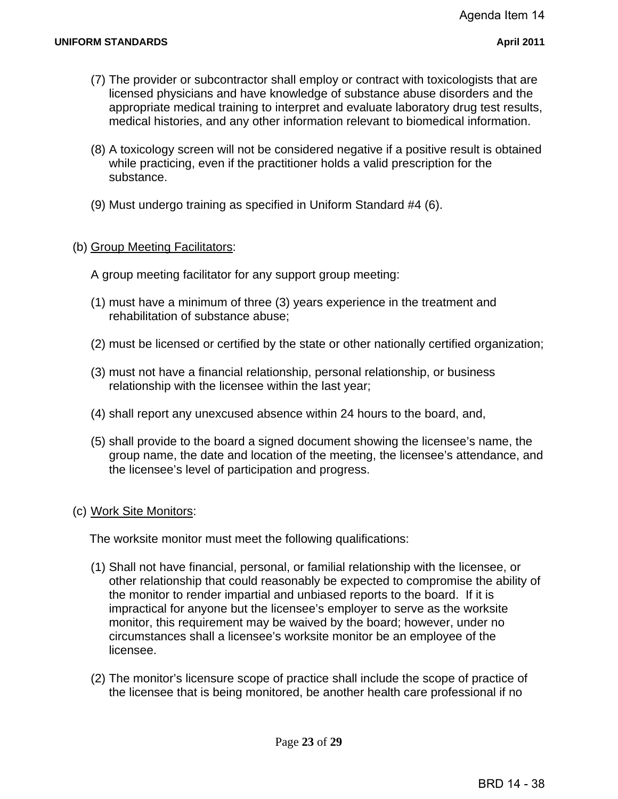- (7) The provider or subcontractor shall employ or contract with toxicologists that are licensed physicians and have knowledge of substance abuse disorders and the appropriate medical training to interpret and evaluate laboratory drug test results, medical histories, and any other information relevant to biomedical information.
- (8) A toxicology screen will not be considered negative if a positive result is obtained while practicing, even if the practitioner holds a valid prescription for the substance.
- (9) Must undergo training as specified in Uniform Standard #4 (6).

#### (b) Group Meeting Facilitators:

A group meeting facilitator for any support group meeting:

- (1) must have a minimum of three (3) years experience in the treatment and rehabilitation of substance abuse;
- (2) must be licensed or certified by the state or other nationally certified organization;
- (3) must not have a financial relationship, personal relationship, or business relationship with the licensee within the last year;
- (4) shall report any unexcused absence within 24 hours to the board, and,
- (5) shall provide to the board a signed document showing the licensee's name, the group name, the date and location of the meeting, the licensee's attendance, and the licensee's level of participation and progress.

#### (c) Work Site Monitors:

The worksite monitor must meet the following qualifications:

- (1) Shall not have financial, personal, or familial relationship with the licensee, or other relationship that could reasonably be expected to compromise the ability of the monitor to render impartial and unbiased reports to the board. If it is impractical for anyone but the licensee's employer to serve as the worksite monitor, this requirement may be waived by the board; however, under no circumstances shall a licensee's worksite monitor be an employee of the licensee.
- (2) The monitor's licensure scope of practice shall include the scope of practice of the licensee that is being monitored, be another health care professional if no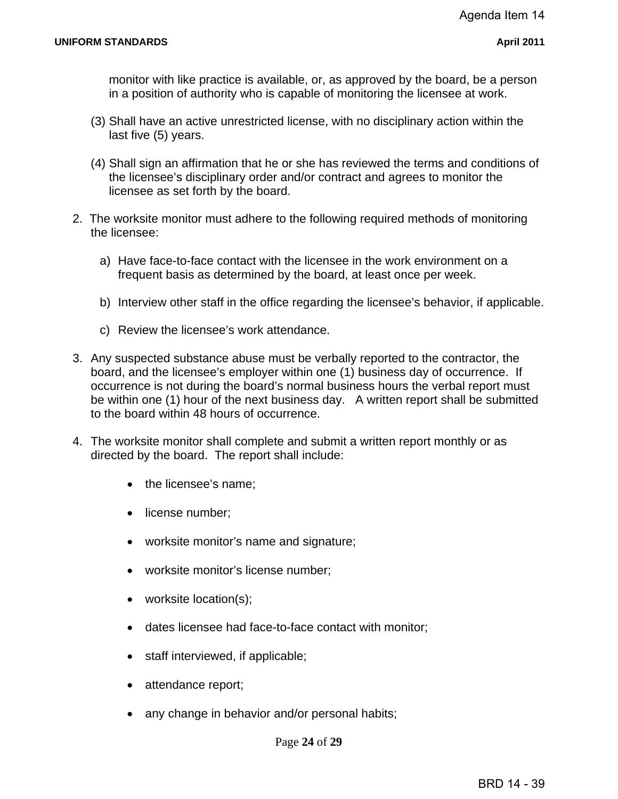monitor with like practice is available, or, as approved by the board, be a person in a position of authority who is capable of monitoring the licensee at work.

- (3) Shall have an active unrestricted license, with no disciplinary action within the last five (5) years.
- (4) Shall sign an affirmation that he or she has reviewed the terms and conditions of the licensee's disciplinary order and/or contract and agrees to monitor the licensee as set forth by the board.
- 2. The worksite monitor must adhere to the following required methods of monitoring the licensee:
	- a) Have face-to-face contact with the licensee in the work environment on a frequent basis as determined by the board, at least once per week.
	- b) Interview other staff in the office regarding the licensee's behavior, if applicable.
	- c) Review the licensee's work attendance.
- 3. Any suspected substance abuse must be verbally reported to the contractor, the board, and the licensee's employer within one (1) business day of occurrence. If occurrence is not during the board's normal business hours the verbal report must be within one (1) hour of the next business day. A written report shall be submitted to the board within 48 hours of occurrence.
- 4. The worksite monitor shall complete and submit a written report monthly or as directed by the board. The report shall include:
	- the licensee's name:
	- license number;
	- worksite monitor's name and signature;
	- worksite monitor's license number;
	- worksite location(s);
	- dates licensee had face-to-face contact with monitor;
	- staff interviewed, if applicable;
	- attendance report;
	- any change in behavior and/or personal habits;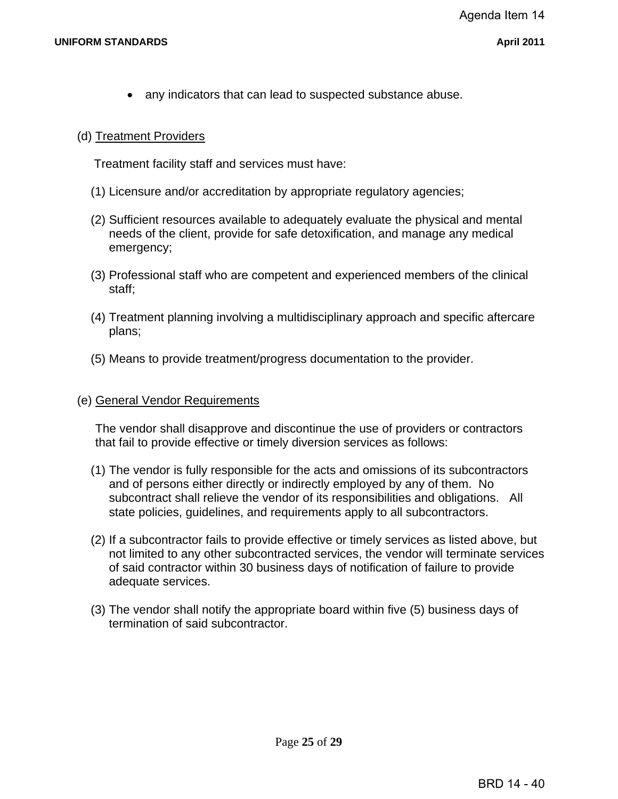any indicators that can lead to suspected substance abuse.

#### (d) Treatment Providers

Treatment facility staff and services must have:

- (1) Licensure and/or accreditation by appropriate regulatory agencies;
- (2) Sufficient resources available to adequately evaluate the physical and mental needs of the client, provide for safe detoxification, and manage any medical emergency;
- (3) Professional staff who are competent and experienced members of the clinical staff;
- (4) Treatment planning involving a multidisciplinary approach and specific aftercare plans;
- (5) Means to provide treatment/progress documentation to the provider.

#### (e) General Vendor Requirements

The vendor shall disapprove and discontinue the use of providers or contractors that fail to provide effective or timely diversion services as follows:

- (1) The vendor is fully responsible for the acts and omissions of its subcontractors and of persons either directly or indirectly employed by any of them. No subcontract shall relieve the vendor of its responsibilities and obligations. All state policies, guidelines, and requirements apply to all subcontractors.
- (2) If a subcontractor fails to provide effective or timely services as listed above, but not limited to any other subcontracted services, the vendor will terminate services of said contractor within 30 business days of notification of failure to provide adequate services.
- (3) The vendor shall notify the appropriate board within five (5) business days of termination of said subcontractor.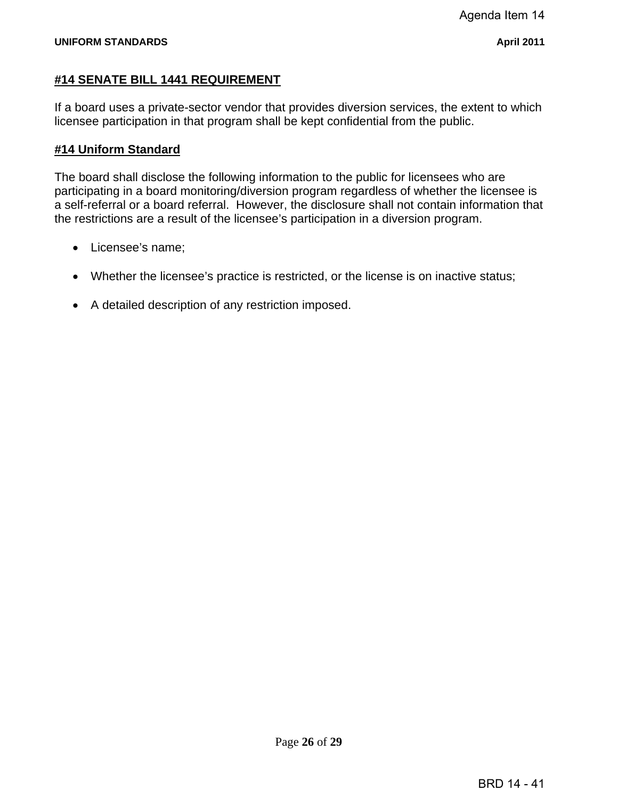# **#14 SENATE BILL 1441 REQUIREMENT**

If a board uses a private-sector vendor that provides diversion services, the extent to which licensee participation in that program shall be kept confidential from the public.

# **#14 Uniform Standard**

The board shall disclose the following information to the public for licensees who are participating in a board monitoring/diversion program regardless of whether the licensee is a self-referral or a board referral. However, the disclosure shall not contain information that the restrictions are a result of the licensee's participation in a diversion program.

- Licensee's name;
- Whether the licensee's practice is restricted, or the license is on inactive status;
- A detailed description of any restriction imposed.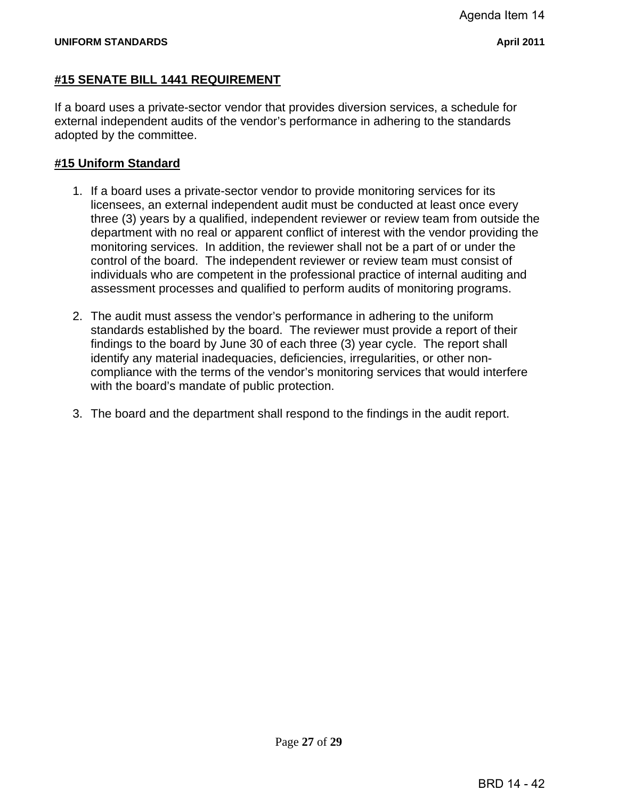#### **#15 SENATE BILL 1441 REQUIREMENT**

If a board uses a private-sector vendor that provides diversion services, a schedule for external independent audits of the vendor's performance in adhering to the standards adopted by the committee.

#### **#15 Uniform Standard**

- 1. If a board uses a private-sector vendor to provide monitoring services for its licensees, an external independent audit must be conducted at least once every three (3) years by a qualified, independent reviewer or review team from outside the department with no real or apparent conflict of interest with the vendor providing the monitoring services. In addition, the reviewer shall not be a part of or under the control of the board. The independent reviewer or review team must consist of individuals who are competent in the professional practice of internal auditing and assessment processes and qualified to perform audits of monitoring programs.
- 2. The audit must assess the vendor's performance in adhering to the uniform standards established by the board. The reviewer must provide a report of their findings to the board by June 30 of each three (3) year cycle. The report shall identify any material inadequacies, deficiencies, irregularities, or other noncompliance with the terms of the vendor's monitoring services that would interfere with the board's mandate of public protection.
- 3. The board and the department shall respond to the findings in the audit report.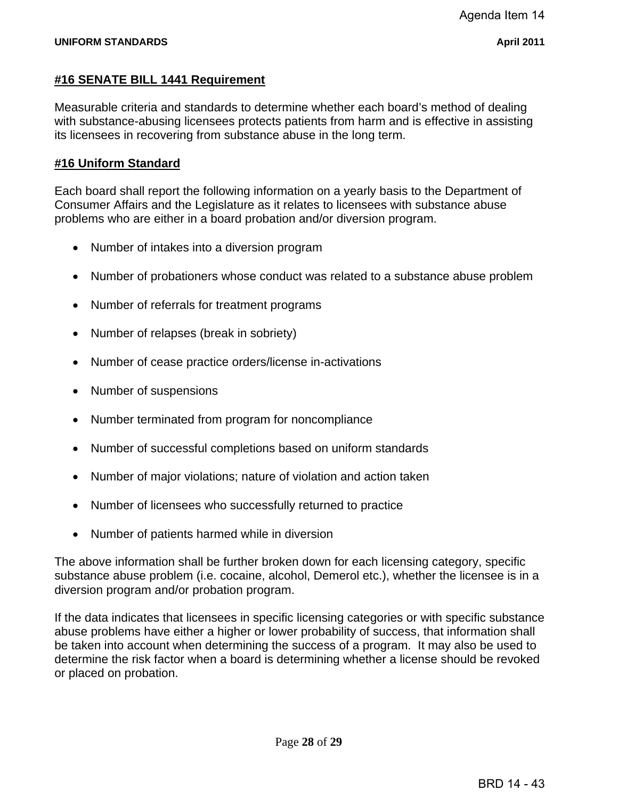#### **#16 SENATE BILL 1441 Requirement**

Measurable criteria and standards to determine whether each board's method of dealing with substance-abusing licensees protects patients from harm and is effective in assisting its licensees in recovering from substance abuse in the long term.

#### **#16 Uniform Standard**

Each board shall report the following information on a yearly basis to the Department of Consumer Affairs and the Legislature as it relates to licensees with substance abuse problems who are either in a board probation and/or diversion program.

- Number of intakes into a diversion program
- Number of probationers whose conduct was related to a substance abuse problem
- Number of referrals for treatment programs
- Number of relapses (break in sobriety)
- Number of cease practice orders/license in-activations
- Number of suspensions
- Number terminated from program for noncompliance
- Number of successful completions based on uniform standards
- Number of major violations; nature of violation and action taken
- Number of licensees who successfully returned to practice
- Number of patients harmed while in diversion

The above information shall be further broken down for each licensing category, specific substance abuse problem (i.e. cocaine, alcohol, Demerol etc.), whether the licensee is in a diversion program and/or probation program.

If the data indicates that licensees in specific licensing categories or with specific substance abuse problems have either a higher or lower probability of success, that information shall be taken into account when determining the success of a program. It may also be used to determine the risk factor when a board is determining whether a license should be revoked or placed on probation.